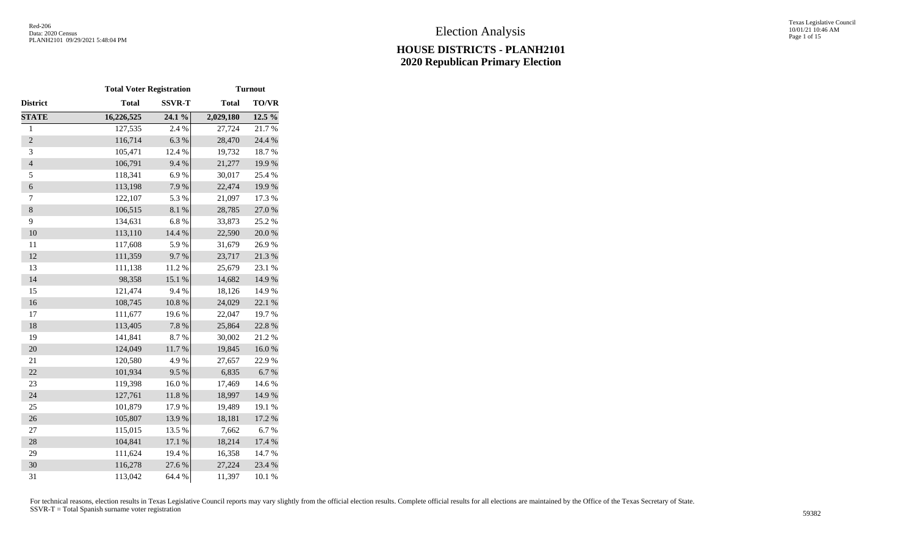Texas Legislative Council 10/01/21 10:46 AM Page 1 of 15

|                  | <b>Total Voter Registration</b> |                  |              | <b>Turnout</b> |
|------------------|---------------------------------|------------------|--------------|----------------|
| District         | <b>Total</b>                    | <b>SSVR-T</b>    | <b>Total</b> | <b>TO/VR</b>   |
| <b>STATE</b>     | 16,226,525                      | $24.1\%$         | 2,029,180    | 12.5 %         |
| $\mathbf{1}$     | 127,535                         | 2.4 %            | 27,724       | 21.7%          |
| $\overline{2}$   | 116,714                         | 6.3%             | 28,470       | 24.4 %         |
| 3                | 105,471                         | 12.4 %           | 19,732       | 18.7%          |
| $\overline{4}$   | 106,791                         | 9.4%             | 21,277       | 19.9%          |
| 5                | 118,341                         | 6.9%             | 30,017       | 25.4 %         |
| $\boldsymbol{6}$ | 113,198                         | 7.9%             | 22,474       | 19.9%          |
| 7                | 122,107                         | 5.3 %            | 21,097       | 17.3 %         |
| $\,$ 8 $\,$      | 106,515                         | $8.1~\%$         | 28,785       | 27.0%          |
| 9                | 134,631                         | 6.8%             | 33,873       | 25.2 %         |
| 10               | 113,110                         | 14.4 %           | 22,590       | 20.0%          |
| 11               | 117,608                         | 5.9%             | 31,679       | 26.9%          |
| 12               | 111,359                         | 9.7%             | 23,717       | 21.3%          |
| 13               | 111,138                         | 11.2%            | 25,679       | 23.1 %         |
| 14               | 98,358                          | 15.1 %           | 14,682       | 14.9%          |
| 15               | 121,474                         | 9.4%             | 18,126       | 14.9%          |
| 16               | 108,745                         | $10.8~\%$        | 24,029       | 22.1 %         |
| 17               | 111,677                         | 19.6%            | 22,047       | 19.7%          |
| 18               | 113,405                         | $7.8~\%$         | 25,864       | 22.8 %         |
| 19               | 141,841                         | 8.7%             | 30,002       | 21.2%          |
| 20               | 124,049                         | $11.7\ \%$       | 19,845       | $16.0\ \%$     |
| 21               | 120,580                         | 4.9%             | 27,657       | 22.9%          |
| 22               | 101,934                         | 9.5%             | 6,835        | 6.7%           |
| 23               | 119,398                         | 16.0%            | 17,469       | 14.6 %         |
| 24               | 127,761                         | $11.8~\%$        | 18,997       | 14.9%          |
| 25               | 101,879                         | 17.9%            | 19,489       | 19.1 %         |
| 26               | 105,807                         | 13.9%            | 18,181       | 17.2 %         |
| 27               | 115,015                         | 13.5 %           | 7,662        | 6.7%           |
| 28               | 104,841                         | $17.1\text{ }\%$ | 18,214       | 17.4 %         |
| 29               | 111,624                         | 19.4 %           | 16,358       | 14.7 %         |
| 30               | 116,278                         | 27.6%            | 27,224       | 23.4 %         |
| 31               | 113,042                         | 64.4 %           | 11,397       | 10.1 %         |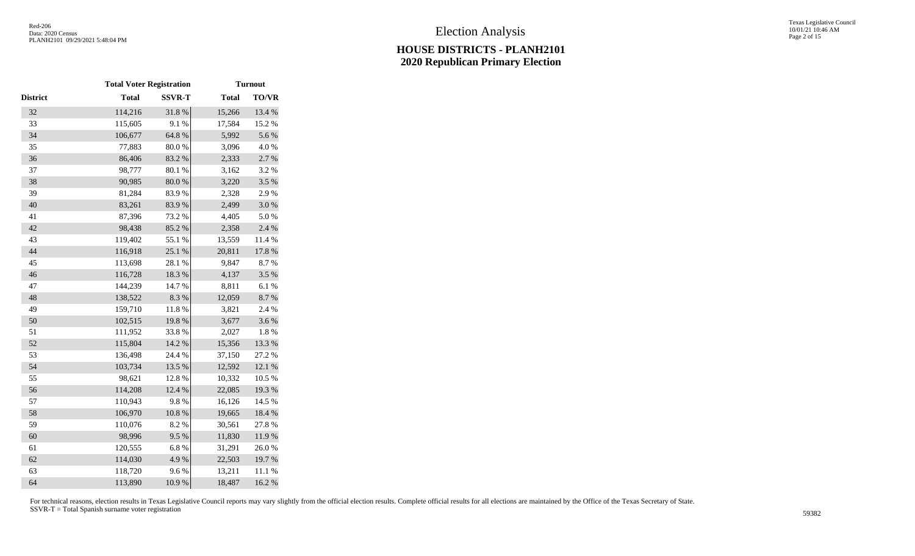|                 | <b>Total Voter Registration</b> |               |              | <b>Turnout</b> |
|-----------------|---------------------------------|---------------|--------------|----------------|
| <b>District</b> | <b>Total</b>                    | <b>SSVR-T</b> | <b>Total</b> | <b>TO/VR</b>   |
| 32              | 114,216                         | 31.8%         | 15,266       | 13.4 %         |
| 33              | 115,605                         | 9.1%          | 17,584       | 15.2 %         |
| 34              | 106,677                         | 64.8 %        | 5,992        | 5.6 %          |
| 35              | 77,883                          | 80.0%         | 3,096        | 4.0%           |
| 36              | 86,406                          | 83.2%         | 2,333        | 2.7 %          |
| 37              | 98,777                          | 80.1 %        | 3,162        | 3.2%           |
| 38              | 90,985                          | $80.0\ \%$    | 3,220        | 3.5 %          |
| 39              | 81,284                          | 83.9%         | 2,328        | 2.9%           |
| 40              | 83,261                          | 83.9%         | 2,499        | 3.0%           |
| 41              | 87,396                          | 73.2 %        | 4,405        | 5.0%           |
| 42              | 98,438                          | 85.2%         | 2,358        | 2.4 %          |
| 43              | 119,402                         | 55.1 %        | 13,559       | 11.4 %         |
| 44              | 116,918                         | 25.1 %        | 20,811       | 17.8 %         |
| 45              | 113,698                         | 28.1 %        | 9,847        | 8.7%           |
| 46              | 116,728                         | 18.3 %        | 4,137        | 3.5 %          |
| 47              | 144,239                         | 14.7 %        | 8,811        | 6.1%           |
| 48              | 138,522                         | 8.3 %         | 12,059       | 8.7%           |
| 49              | 159,710                         | 11.8 %        | 3,821        | 2.4 %          |
| 50              | 102,515                         | 19.8%         | 3,677        | 3.6%           |
| 51              | 111,952                         | 33.8%         | 2,027        | 1.8%           |
| 52              | 115,804                         | 14.2 %        | 15,356       | 13.3 %         |
| 53              | 136,498                         | 24.4 %        | 37,150       | 27.2 %         |
| 54              | 103,734                         | 13.5 %        | 12,592       | 12.1 %         |
| 55              | 98,621                          | 12.8 %        | 10,332       | 10.5 %         |
| 56              | 114,208                         | 12.4 %        | 22,085       | 19.3 %         |
| 57              | 110,943                         | 9.8%          | 16,126       | 14.5 %         |
| 58              | 106,970                         | $10.8~\%$     | 19,665       | 18.4 %         |
| 59              | 110,076                         | 8.2%          | 30,561       | 27.8%          |
| 60              | 98,996                          | 9.5%          | 11,830       | 11.9%          |
| 61              | 120,555                         | 6.8%          | 31,291       | 26.0%          |
| 62              | 114,030                         | 4.9%          | 22,503       | 19.7%          |
| 63              | 118,720                         | 9.6%          | 13,211       | 11.1 %         |
| 64              | 113,890                         | 10.9%         | 18,487       | 16.2%          |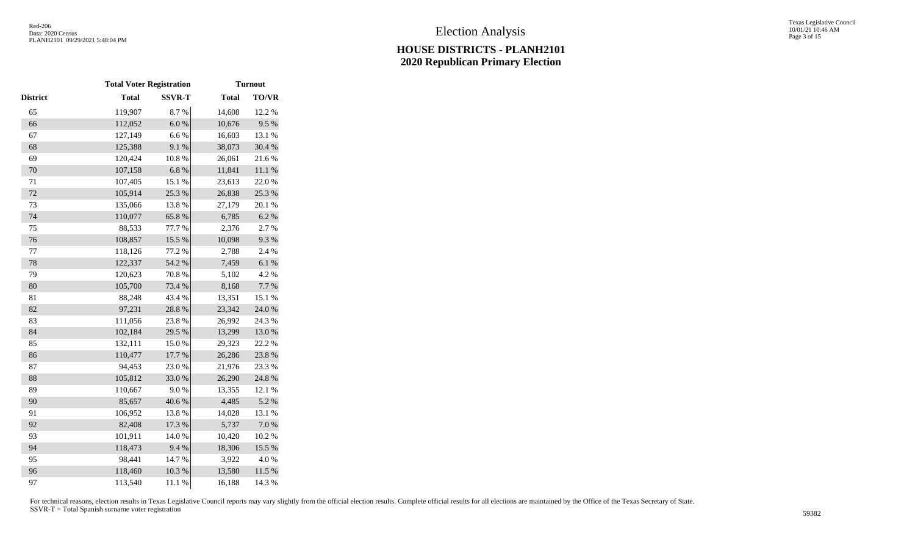|          | <b>Total Voter Registration</b> |               |              | <b>Turnout</b> |
|----------|---------------------------------|---------------|--------------|----------------|
| District | <b>Total</b>                    | <b>SSVR-T</b> | <b>Total</b> | <b>TO/VR</b>   |
| 65       | 119,907                         | 8.7%          | 14,608       | 12.2 %         |
| 66       | 112,052                         | $6.0\ \%$     | 10,676       | 9.5%           |
| 67       | 127,149                         | 6.6%          | 16,603       | 13.1 %         |
| 68       | 125,388                         | 9.1%          | 38,073       | 30.4 %         |
| 69       | 120,424                         | $10.8~\%$     | 26,061       | 21.6%          |
| 70       | 107,158                         | 6.8%          | 11,841       | $11.1~\%$      |
| 71       | 107,405                         | 15.1 %        | 23,613       | 22.0%          |
| 72       | 105,914                         | 25.3 %        | 26,838       | 25.3 %         |
| 73       | 135,066                         | 13.8%         | 27,179       | 20.1%          |
| 74       | 110,077                         | 65.8%         | 6,785        | 6.2 %          |
| 75       | 88,533                          | 77.7 %        | 2,376        | 2.7 %          |
| 76       | 108,857                         | 15.5 %        | 10,098       | 9.3%           |
| 77       | 118,126                         | 77.2 %        | 2,788        | 2.4 %          |
| 78       | 122,337                         | 54.2 %        | 7,459        | 6.1%           |
| 79       | 120,623                         | 70.8%         | 5,102        | 4.2 %          |
| 80       | 105,700                         | 73.4 %        | 8,168        | 7.7 %          |
| 81       | 88,248                          | 43.4 %        | 13,351       | 15.1 %         |
| 82       | 97,231                          | 28.8 %        | 23,342       | 24.0 %         |
| 83       | 111,056                         | 23.8%         | 26,992       | 24.3 %         |
| 84       | 102,184                         | 29.5 %        | 13,299       | 13.0%          |
| 85       | 132,111                         | 15.0%         | 29,323       | 22.2 %         |
| 86       | 110,477                         | 17.7 %        | 26,286       | 23.8%          |
| 87       | 94,453                          | 23.0%         | 21,976       | 23.3 %         |
| 88       | 105,812                         | 33.0%         | 26,290       | 24.8 %         |
| 89       | 110,667                         | $9.0\ \%$     | 13,355       | 12.1 %         |
| 90       | 85,657                          | 40.6%         | 4,485        | 5.2 %          |
| 91       | 106,952                         | 13.8%         | 14,028       | 13.1 %         |
| 92       | 82,408                          | 17.3 %        | 5,737        | $7.0\ \%$      |
| 93       | 101,911                         | 14.0 %        | 10,420       | 10.2 %         |
| 94       | 118,473                         | 9.4%          | 18,306       | 15.5 %         |
| 95       | 98,441                          | 14.7%         | 3,922        | 4.0%           |
| 96       | 118,460                         | 10.3 %        | 13,580       | 11.5 %         |
| 97       | 113,540                         | 11.1%         | 16,188       | 14.3 %         |
|          |                                 |               |              |                |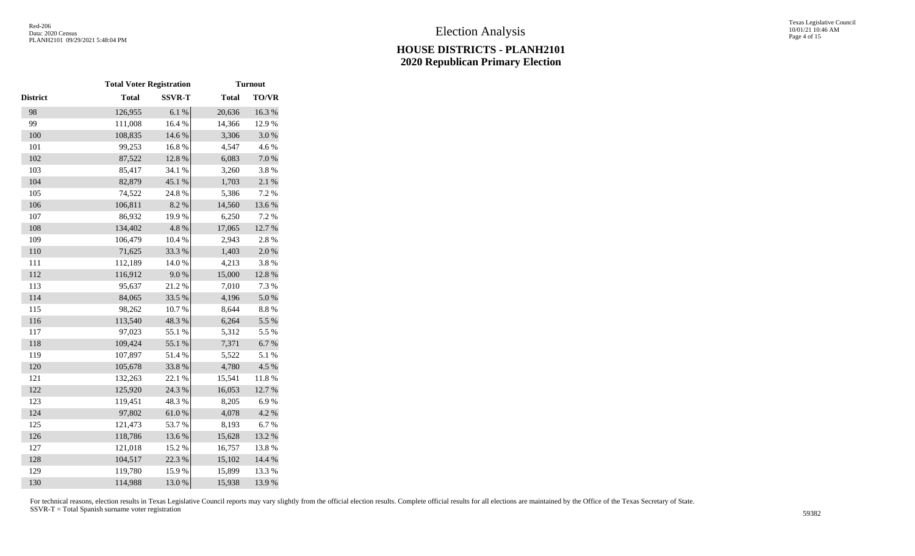|                 | <b>Total Voter Registration</b> |               |              | <b>Turnout</b> |
|-----------------|---------------------------------|---------------|--------------|----------------|
| <b>District</b> | <b>Total</b>                    | <b>SSVR-T</b> | <b>Total</b> | <b>TO/VR</b>   |
| 98              | 126,955                         | 6.1%          | 20,636       | 16.3%          |
| 99              | 111,008                         | 16.4 %        | 14,366       | 12.9%          |
| 100             | 108,835                         | 14.6 %        | 3,306        | $3.0\ \%$      |
| 101             | 99,253                          | 16.8%         | 4,547        | 4.6 %          |
| 102             | 87,522                          | 12.8 %        | 6,083        | 7.0%           |
| 103             | 85,417                          | 34.1 %        | 3,260        | 3.8%           |
| 104             | 82,879                          | 45.1 %        | 1,703        | $2.1~\%$       |
| 105             | 74,522                          | 24.8%         | 5,386        | 7.2 %          |
| 106             | 106,811                         | 8.2 %         | 14,560       | 13.6 %         |
| 107             | 86,932                          | 19.9%         | 6,250        | 7.2 %          |
| 108             | 134,402                         | 4.8%          | 17,065       | 12.7 %         |
| 109             | 106,479                         | 10.4 %        | 2,943        | 2.8%           |
| 110             | 71,625                          | 33.3 %        | 1,403        | 2.0%           |
| 111             | 112,189                         | 14.0 %        | 4,213        | 3.8%           |
| 112             | 116,912                         | $9.0\;\%$     | 15,000       | 12.8 %         |
| 113             | 95,637                          | 21.2%         | 7,010        | 7.3 %          |
| 114             | 84,065                          | 33.5 %        | 4,196        | 5.0%           |
| 115             | 98,262                          | 10.7%         | 8,644        | $8.8~\%$       |
| 116             | 113,540                         | 48.3%         | 6,264        | 5.5 %          |
| 117             | 97,023                          | 55.1 %        | 5,312        | 5.5 %          |
| 118             | 109,424                         | 55.1 %        | 7,371        | $6.7~\%$       |
| 119             | 107,897                         | 51.4%         | 5,522        | 5.1 %          |
| 120             | 105,678                         | 33.8%         | 4,780        | 4.5 %          |
| 121             | 132,263                         | 22.1 %        | 15,541       | 11.8 %         |
| 122             | 125,920                         | 24.3 %        | 16,053       | 12.7 %         |
| 123             | 119,451                         | 48.3%         | 8,205        | 6.9%           |
| 124             | 97,802                          | $61.0\ \%$    | 4,078        | 4.2 %          |
| 125             | 121,473                         | 53.7%         | 8,193        | 6.7%           |
| 126             | 118,786                         | 13.6%         | 15,628       | 13.2 %         |
| 127             | 121,018                         | 15.2 %        | 16,757       | 13.8%          |
| 128             | 104,517                         | 22.3 %        | 15,102       | 14.4 %         |
| 129             | 119,780                         | 15.9%         | 15,899       | 13.3 %         |
| 130             | 114,988                         | 13.0%         | 15,938       | 13.9%          |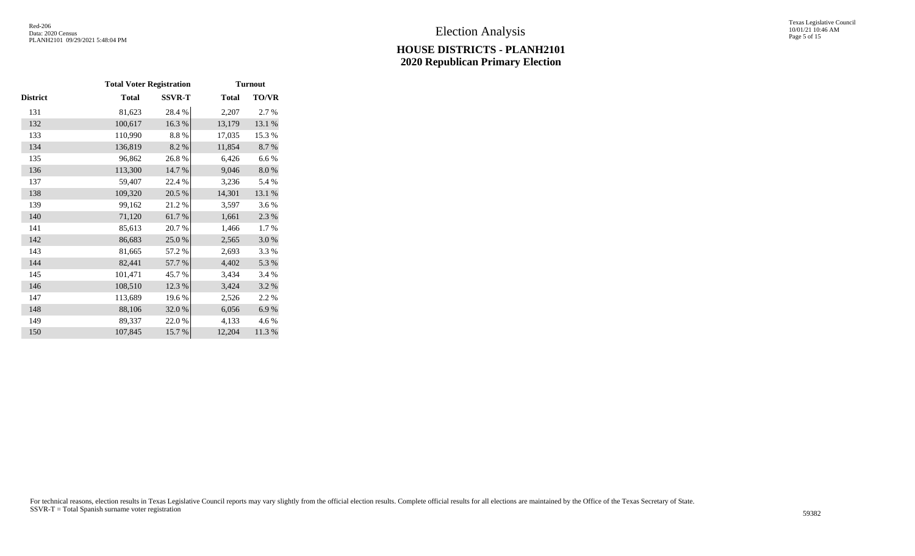Texas Legislative Council 10/01/21 10:46 AM Page 5 of 15

|          | <b>Total Voter Registration</b> |               |              | <b>Turnout</b> |
|----------|---------------------------------|---------------|--------------|----------------|
| District | <b>Total</b>                    | <b>SSVR-T</b> | <b>Total</b> | <b>TO/VR</b>   |
| 131      | 81,623                          | 28.4%         | 2,207        | 2.7 %          |
| 132      | 100,617                         | 16.3%         | 13,179       | 13.1 %         |
| 133      | 110,990                         | 8.8%          | 17,035       | 15.3 %         |
| 134      | 136,819                         | 8.2 %         | 11,854       | 8.7 %          |
| 135      | 96,862                          | 26.8%         | 6,426        | 6.6%           |
| 136      | 113,300                         | 14.7 %        | 9,046        | 8.0%           |
| 137      | 59,407                          | 22.4 %        | 3,236        | 5.4 %          |
| 138      | 109,320                         | 20.5 %        | 14,301       | 13.1 %         |
| 139      | 99,162                          | 21.2%         | 3,597        | 3.6%           |
| 140      | 71,120                          | 61.7%         | 1,661        | 2.3 %          |
| 141      | 85,613                          | 20.7 %        | 1,466        | 1.7 %          |
| 142      | 86,683                          | 25.0%         | 2,565        | 3.0%           |
| 143      | 81,665                          | 57.2 %        | 2,693        | 3.3 %          |
| 144      | 82,441                          | 57.7 %        | 4,402        | 5.3 %          |
| 145      | 101,471                         | 45.7%         | 3,434        | 3.4 %          |
| 146      | 108,510                         | 12.3 %        | 3,424        | 3.2 %          |
| 147      | 113,689                         | 19.6%         | 2,526        | 2.2 %          |
| 148      | 88,106                          | 32.0%         | 6,056        | 6.9%           |
| 149      | 89,337                          | 22.0 %        | 4,133        | 4.6 %          |
| 150      | 107,845                         | 15.7%         | 12,204       | 11.3 %         |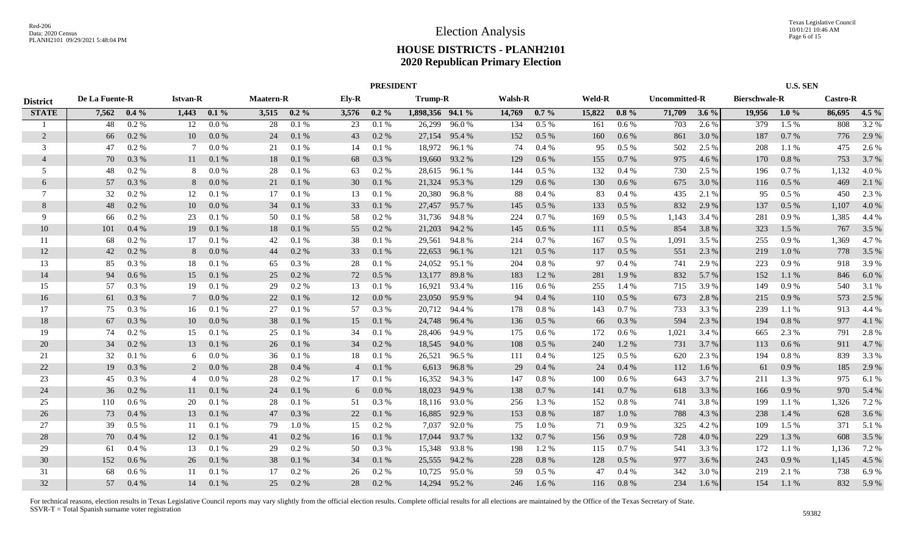|                 |                |         |                 |         |                  |         |                | <b>PRESIDENT</b> |                  |               |                |           |               |         |               |         |                      | <b>U.S. SEN</b> |                 |         |
|-----------------|----------------|---------|-----------------|---------|------------------|---------|----------------|------------------|------------------|---------------|----------------|-----------|---------------|---------|---------------|---------|----------------------|-----------------|-----------------|---------|
| <b>District</b> | De La Fuente-R |         | <b>Istvan-R</b> |         | <b>Maatern-R</b> |         | Ely-R          |                  | Trump-R          |               | <b>Walsh-R</b> |           | <b>Weld-R</b> |         | Uncommitted-R |         | <b>Bierschwale-R</b> |                 | <b>Castro-R</b> |         |
| <b>STATE</b>    | 7,562          | $0.4\%$ | 1,443           | $0.1\%$ | 3,515            | $0.2\%$ | 3,576          | $0.2\%$          | 1,898,356 94.1 % |               | 14,769         | $0.7\%$   | 15,822        | $0.8\%$ | 71,709        | 3.6 $%$ | 19,956               | $1.0\%$         | 86,695          | $4.5\%$ |
|                 | 48             | $0.2\%$ | 12              | $0.0\%$ | 28               | 0.1%    | 23             | 0.1%             |                  | 26,299 96.0 % | 134            | 0.5%      | 161           | $0.6\%$ | 703           | 2.6 %   | 379                  | 1.5%            | 808             | 3.2 %   |
| 2               | 66             | 0.2 %   | 10              | 0.0 %   | 24               | 0.1%    | 43             | 0.2 %            |                  | 27,154 95.4 % | 152            | $0.5\%$   | 160           | 0.6%    | 861           | 3.0 %   | 187                  | 0.7%            | 776             | 2.9 %   |
| 3               | 47             | 0.2 %   | 7               | 0.0 %   | 21               | 0.1%    | 14             | 0.1%             |                  | 18,972 96.1 % | 74             | 0.4%      | 95            | 0.5%    | 502           | 2.5 %   | 208                  | 1.1%            | 475             | 2.6 %   |
| $\overline{4}$  | 70             | 0.3%    | 11              | 0.1%    | 18               | 0.1%    | 68             | 0.3%             | 19,660           | 93.2 %        | 129            | 0.6 %     | 155           | 0.7%    | 975           | 4.6 %   | 170                  | 0.8%            | 753             | 3.7 %   |
| 5               | 48             | 0.2 %   | -8              | 0.0 %   | 28               | 0.1%    | 63             | 0.2 %            | 28,615           | 96.1 %        | 144            | $0.5\ \%$ | 132           | 0.4%    | 730           | 2.5 %   | 196                  | 0.7%            | 1,132           | 4.0%    |
| 6               | 57             | 0.3 %   | 8               | 0.0 %   | 21               | 0.1%    | 30             | 0.1%             |                  | 21,324 95.3 % | 129            | 0.6 %     | 130           | 0.6 %   | 675           | 3.0 %   | 116                  | $0.5\%$         | 469             | 2.1 %   |
| $\tau$          | 32             | 0.2 %   | 12              | 0.1%    | 17               | 0.1%    | 13             | 0.1%             |                  | 20,380 96.8 % | 88             | 0.4%      | 83            | 0.4%    | 435           | 2.1 %   | 95                   | $0.5\%$         | 450             | 2.3 %   |
| 8               | 48             | 0.2 %   | 10              | 0.0 %   | 34               | 0.1 %   | 33             | 0.1%             |                  | 27,457 95.7 % | 145            | 0.5 %     | 133           | 0.5 %   | 832           | 2.9 %   | 137                  | $0.5\%$         | 1,107           | 4.0%    |
| 9               | 66             | 0.2 %   | 23              | 0.1%    | 50               | 0.1 %   | 58             | 0.2 %            | 31,736           | 94.8%         | 224            | 0.7%      | 169           | $0.5\%$ | 1,143         | 3.4 %   | 281                  | 0.9%            | 1,385           | 4.4 %   |
| 10              | 101            | 0.4%    | 19              | 0.1%    | 18               | 0.1%    | 55             | $0.2\%$          | 21,203           | 94.2 %        | 145            | 0.6 %     | 111           | 0.5%    | 854           | 3.8%    | 323                  | 1.5 %           | 767             | 3.5 %   |
| -11             | 68             | $0.2\%$ | 17              | 0.1%    | 42               | 0.1%    | 38             | 0.1%             | 29,561           | 94.8%         | 214            | 0.7%      | 167           | $0.5\%$ | 1,091         | 3.5 %   | 255                  | 0.9%            | 1.369           | 4.7%    |
| 12              | 42             | 0.2 %   | 8               | 0.0 %   | 44               | 0.2 %   | 33             | 0.1%             |                  | 22,653 96.1 % | 121            | 0.5 %     | 117           | $0.5\%$ | 551           | 2.3 %   | 219                  | 1.0%            | 778             | 3.5 %   |
| 13              | 85             | 0.3 %   | 18              | 0.1%    | 65               | 0.3 %   | 28             | 0.1%             |                  | 24,052 95.1 % | 204            | 0.8%      | 97            | 0.4%    | 741           | 2.9 %   | 223                  | 0.9%            | 918             | 3.9%    |
| 14              | 94             | 0.6%    | 15              | 0.1%    | 25               | 0.2 %   | 72             | $0.5\%$          |                  | 13,177 89.8 % | 183            | 1.2%      | 281           | 1.9%    | 832           | 5.7 %   | 152                  | 1.1 %           | 846             | 6.0%    |
| 15              | 57             | 0.3 %   | 19              | 0.1%    | 29               | 0.2 %   | 13             | 0.1%             |                  | 16,921 93.4 % | 116            | 0.6 %     | 255           | 1.4 %   | 715           | 3.9%    | 149                  | 0.9%            | 540             | 3.1 %   |
| 16              | 61             | 0.3%    |                 | 0.0 %   | 22               | 0.1%    | 12             | 0.0 %            | 23,050           | 95.9%         | 94             | 0.4%      | 110           | $0.5\%$ | 673           | 2.8%    | 215                  | 0.9%            | 573             | 2.5 %   |
| 17              | 75             | 0.3%    | 16              | 0.1%    | 27               | 0.1%    | 57             | $0.3\%$          |                  | 20,712 94.4 % | 178            | 0.8%      | 143           | 0.7%    | 733           | 3.3 %   | 239                  | $1.1\%$         | 913             | 4.4 %   |
| 18              | 67             | 0.3%    | 10              | 0.0 %   | 38               | 0.1%    | 15             | 0.1%             |                  | 24,748 96.4 % | 136            | 0.5 %     | 66            | 0.3%    | 594           | 2.3 %   | 194                  | 0.8%            | 977             | 4.1 %   |
| 19              | 74             | 0.2 %   | 15              | 0.1%    | 25               | 0.1%    | 34             | 0.1%             | 28,406           | 94.9 %        | 175            | 0.6 %     | 172           | 0.6 %   | 1,021         | 3.4 %   | 665                  | 2.3 %           | 791             | 2.8 %   |
| 20              | 34             | 0.2 %   | 13              | 0.1%    | 26               | 0.1%    | 34             | 0.2 %            | 18,545           | 94.0 %        | 108            | $0.5\%$   | 240           | 1.2%    | 731           | 3.7 %   | 113                  | $0.6\%$         | 911             | 4.7 %   |
| 21              | 32             | 0.1%    | 6               | 0.0 %   | 36               | 0.1%    | 18             | 0.1%             | 26,521           | 96.5 %        | 111            | 0.4%      | 125           | $0.5\%$ | 620           | 2.3 %   | 194                  | 0.8 %           | 839             | 3.3 %   |
| 22              | 19             | 0.3%    | 2               | 0.0 %   | 28               | 0.4%    | $\overline{4}$ | 0.1%             | 6,613            | 96.8%         | 29             | 0.4%      | 24            | 0.4%    | 112           | $1.6\%$ | 61                   | 0.9%            | 185             | 2.9%    |
| 23              | 45             | 0.3%    | 4               | 0.0 %   | 28               | 0.2 %   | 17             | 0.1%             | 16,352           | 94.3%         | 147            | $0.8\ \%$ | 100           | 0.6 %   | 643           | 3.7%    | 211                  | 1.3%            | 975             | 6.1 %   |
| 24              | 36             | 0.2 %   | 11              | 0.1%    | 24               | 0.1%    | 6              | 0.0 %            | 18,023           | 94.9%         | 138            | 0.7 %     | 141           | 0.7%    | 618           | 3.3 %   | 166                  | 0.9%            | 970             | 5.4 %   |
| 25              | 110            | 0.6 %   | 20              | 0.1%    | 28               | 0.1%    | 51             | 0.3%             |                  | 18,116 93.0 % | 256            | 1.3%      | 152           | 0.8%    | 741           | 3.8%    | 199                  | 1.1 %           | 1,326           | 7.2 %   |
| 26              | 73             | 0.4%    | 13              | 0.1%    | 47               | 0.3 %   | 22             | 0.1 %            | 16,885           | 92.9 %        | 153            | 0.8%      | 187           | 1.0%    | 788           | 4.3 %   | 238                  | 1.4 %           | 628             | 3.6 %   |
| 27              | 39             | $0.5\%$ | 11              | 0.1%    | 79               | 1.0%    | 15             | 0.2 %            | 7,037            | 92.0%         | 75             | 1.0%      | 71            | 0.9%    | 325           | 4.2 %   | 109                  | 1.5 %           | 371             | 5.1 %   |
| 28              | 70             | 0.4%    | 12              | 0.1%    | 41               | $0.2\%$ | 16             | 0.1%             | 17,044           | 93.7 %        | 132            | 0.7%      | 156           | 0.9%    | 728           | 4.0 %   | 229                  | 1.3%            | 608             | 3.5 %   |
| 29              | 61             | $0.4\%$ | 13              | 0.1%    | 29               | 0.2 %   | 50             | $0.3\%$          | 15,348           | 93.8%         | 198            | 1.2%      | 115           | $0.7\%$ | 541           | 3.3 %   | 172                  | 1.1 %           | 1,136           | 7.2 %   |
| 30              | 152            | 0.6%    | 26              | 0.1%    | 38               | 0.1%    | 34             | 0.1%             | 25,555           | 94.2 %        | 228            | $0.8\ \%$ | 128           | 0.5 %   | 977           | 3.6 %   | 243                  | 0.9%            | 1,145           | 4.5 %   |
| 31              | 68             | 0.6 %   | 11              | 0.1%    | 17               | 0.2%    | 26             | 0.2 %            | 10,725           | 95.0%         | 59             | 0.5%      | 47            | 0.4%    | 342           | 3.0%    | 219                  | 2.1 %           | 738             | 6.9%    |
| 32              | 57             | $0.4\%$ | 14              | 0.1%    | 25               | $0.2\%$ | 28             | $0.2\%$          |                  | 14,294 95.2 % | 246            | $1.6\%$   | 116           | 0.8%    | 234           | 1.6 %   | 154                  | 1.1%            | 832             | 5.9%    |
|                 |                |         |                 |         |                  |         |                |                  |                  |               |                |           |               |         |               |         |                      |                 |                 |         |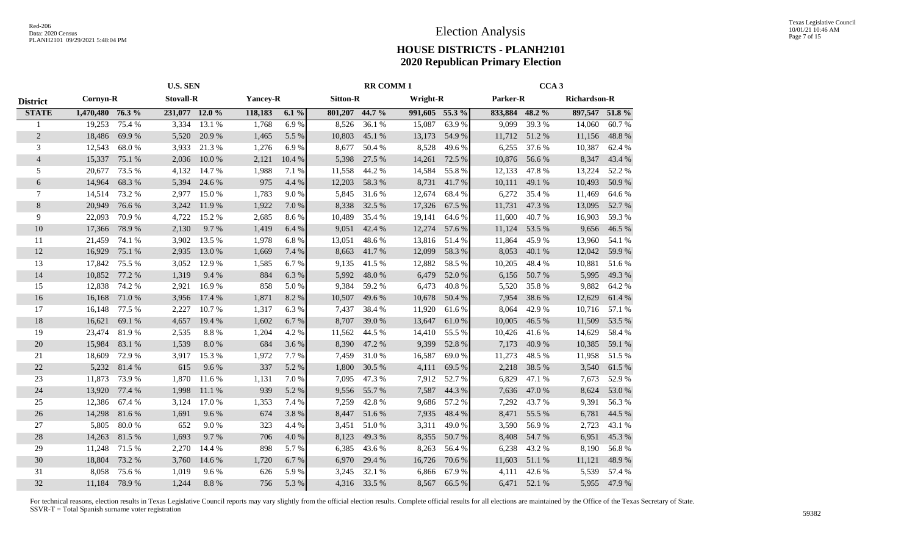|                 |                  |        | <b>U.S. SEN</b>  |        |                 |        |                 | <b>RR COMM1</b> |                 |        |          | CCA <sub>3</sub> |                     |        |
|-----------------|------------------|--------|------------------|--------|-----------------|--------|-----------------|-----------------|-----------------|--------|----------|------------------|---------------------|--------|
| <b>District</b> | Cornyn-R         |        | <b>Stovall-R</b> |        | <b>Yancey-R</b> |        | <b>Sitton-R</b> |                 | <b>Wright-R</b> |        | Parker-R |                  | <b>Richardson-R</b> |        |
| <b>STATE</b>    | 1,470,480 76.3 % |        | 231,077 12.0 %   |        | 118,183         | 6.1%   | 801,207 44.7 %  |                 | 991,605 55.3 %  |        | 833,884  | 48.2 %           | 897,547 51.8 %      |        |
|                 | 19,253           | 75.4 % | 3,334            | 13.1 % | 1,768           | 6.9%   | 8,526           | 36.1%           | 15,087          | 63.9%  | 9,099    | 39.3%            | 14,060              | 60.7%  |
| $\overline{2}$  | 18,486           | 69.9%  | 5,520            | 20.9%  | 1,465           | 5.5 %  | 10,803          | 45.1 %          | 13,173          | 54.9%  | 11,712   | 51.2%            | 11,156              | 48.8%  |
| 3               | 12,543           | 68.0%  | 3,933            | 21.3%  | 1,276           | 6.9%   | 8,677           | 50.4%           | 8,528           | 49.6%  | 6,255    | 37.6 %           | 10,387              | 62.4 % |
| $\overline{4}$  | 15,337           | 75.1 % | 2,036            | 10.0%  | 2,121           | 10.4 % | 5,398           | 27.5 %          | 14,261          | 72.5 % | 10,876   | 56.6%            | 8,347               | 43.4 % |
| 5               | 20,677           | 73.5 % | 4,132            | 14.7 % | 1,988           | 7.1 %  | 11,558          | 44.2%           | 14,584          | 55.8%  | 12,133   | 47.8%            | 13,224              | 52.2%  |
| 6               | 14,964           | 68.3%  | 5,394            | 24.6 % | 975             | 4.4 %  | 12,203          | 58.3%           | 8,731           | 41.7%  | 10,111   | 49.1 %           | 10,493              | 50.9%  |
| 7               | 14,514           | 73.2 % | 2,977            | 15.0 % | 1,783           | 9.0%   | 5,845           | 31.6 %          | 12,674          | 68.4%  | 6,272    | 35.4 %           | 11,469              | 64.6 % |
| 8               | 20,949           | 76.6%  | 3,242            | 11.9 % | 1,922           | 7.0%   | 8,338           | 32.5 %          | 17,326          | 67.5 % | 11,731   | 47.3 %           | 13,095              | 52.7 % |
| 9               | 22,093           | 70.9%  | 4,722            | 15.2 % | 2,685           | 8.6%   | 10,489          | 35.4 %          | 19,141          | 64.6 % | 11,600   | 40.7%            | 16,903              | 59.3%  |
| 10              | 17,366           | 78.9%  | 2,130            | 9.7%   | 1,419           | 6.4 %  | 9,051           | 42.4 %          | 12,274          | 57.6 % | 11,124   | 53.5 %           | 9,656               | 46.5 % |
| 11              | 21,459           | 74.1 % | 3,902            | 13.5 % | 1,978           | 6.8%   | 13,051          | 48.6%           | 13,816          | 51.4%  | 11,864   | 45.9%            | 13,960              | 54.1 % |
| 12              | 16,929           | 75.1 % | 2,935            | 13.0 % | 1,669           | 7.4 %  | 8,663           | 41.7%           | 12,099          | 58.3%  | 8,053    | 40.1 %           | 12,042              | 59.9%  |
| 13              | 17,842           | 75.5 % | 3,052            | 12.9%  | 1,585           | 6.7%   | 9,135           | 41.5 %          | 12,882          | 58.5%  | 10,205   | 48.4%            | 10,881              | 51.6%  |
| 14              | 10,852           | 77.2 % | 1,319            | 9.4%   | 884             | 6.3%   | 5,992           | 48.0%           | 6,479           | 52.0%  | 6,156    | 50.7%            | 5,995               | 49.3%  |
| 15              | 12,838           | 74.2 % | 2,921            | 16.9%  | 858             | 5.0%   | 9,384           | 59.2%           | 6,473           | 40.8%  | 5,520    | 35.8%            | 9,882               | 64.2%  |
| 16              | 16,168           | 71.0%  | 3,956            | 17.4 % | 1,871           | 8.2%   | 10,507          | 49.6%           | 10,678          | 50.4 % | 7,954    | 38.6%            | 12,629              | 61.4%  |
| 17              | 16,148           | 77.5 % | 2,227            | 10.7 % | 1,317           | 6.3%   | 7,437           | 38.4%           | 11,920          | 61.6%  | 8,064    | 42.9%            | 10,716              | 57.1 % |
| 18              | 16,621           | 69.1 % | 4,657            | 19.4 % | 1,602           | 6.7%   | 8,707           | 39.0%           | 13,647          | 61.0%  | 10,005   | 46.5 %           | 11,509              | 53.5 % |
| 19              | 23,474           | 81.9%  | 2,535            | 8.8%   | 1,204           | 4.2 %  | 11,562          | 44.5 %          | 14,410          | 55.5 % | 10,426   | 41.6%            | 14,629              | 58.4%  |
| 20              | 15,984           | 83.1 % | 1,539            | 8.0%   | 684             | 3.6%   | 8,390           | 47.2%           | 9,399           | 52.8%  | 7,173    | 40.9%            | 10,385              | 59.1 % |
| 21              | 18,609           | 72.9%  | 3,917            | 15.3 % | 1,972           | 7.7 %  | 7,459           | 31.0%           | 16,587          | 69.0%  | 11,273   | 48.5%            | 11,958              | 51.5%  |
| 22              | 5,232            | 81.4%  | 615              | 9.6%   | 337             | 5.2%   | 1,800           | 30.5 %          | 4,111           | 69.5%  | 2,218    | 38.5 %           | 3,540               | 61.5%  |
| 23              | 11,873           | 73.9%  | 1,870            | 11.6 % | 1,131           | 7.0%   | 7,095           | 47.3%           | 7,912           | 52.7%  | 6,829    | 47.1 %           | 7,673               | 52.9%  |
| $24\,$          | 13,920           | 77.4 % | 1,998            | 11.1 % | 939             | 5.2%   | 9,556           | 55.7%           | 7,587           | 44.3 % | 7,636    | 47.0%            | 8,624               | 53.0%  |
| 25              | 12,386           | 67.4 % | 3,124            | 17.0 % | 1,353           | 7.4 %  | 7,259           | 42.8%           | 9,686           | 57.2 % | 7,292    | 43.7%            | 9,391               | 56.3%  |
| 26              | 14,298           | 81.6%  | 1,691            | 9.6%   | 674             | 3.8%   | 8,447           | 51.6%           | 7,935           | 48.4 % | 8,471    | 55.5 %           | 6,781               | 44.5 % |
| 27              | 5,805            | 80.0%  | 652              | 9.0%   | 323             | 4.4 %  | 3,451           | 51.0%           | 3,311           | 49.0%  | 3,590    | 56.9%            | 2,723               | 43.1 % |
| 28              | 14,263           | 81.5 % | 1,693            | 9.7%   | 706             | 4.0%   | 8,123           | 49.3%           | 8,355           | 50.7%  | 8,408    | 54.7 %           | 6,951               | 45.3 % |
| 29              | 11,248           | 71.5 % | 2,270            | 14.4 % | 898             | 5.7%   | 6,385           | 43.6 %          | 8,263           | 56.4 % | 6,238    | 43.2 %           | 8,190               | 56.8%  |
| 30              | 18,804           | 73.2 % | 3,760            | 14.6 % | 1,720           | 6.7%   | 6,970           | 29.4 %          | 16,726          | 70.6%  | 11,603   | 51.1 %           | 11,121              | 48.9%  |
| 31              | 8,058            | 75.6%  | 1,019            | 9.6%   | 626             | 5.9%   | 3,245           | 32.1 %          | 6,866           | 67.9%  | 4,111    | 42.6%            | 5,539               | 57.4 % |
| 32              | 11,184           | 78.9%  | 1,244            | 8.8%   | 756             | 5.3%   |                 | 4,316 33.5 %    | 8,567           | 66.5%  | 6,471    | 52.1 %           | 5,955               | 47.9%  |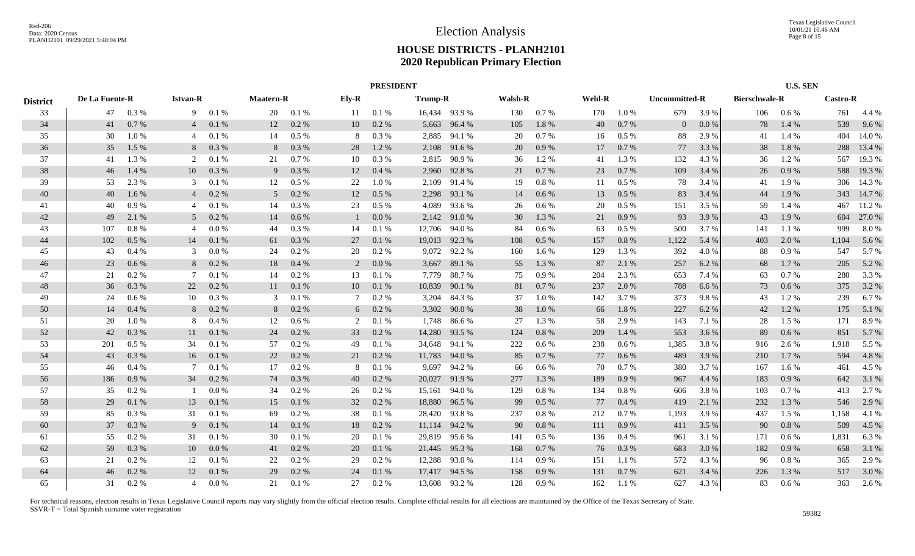|                 | <b>PRESIDENT</b> |           |                 |         |                  |         |              |         |                |               |                |           |               |           |               |         |                      | <b>U.S. SEN</b> |                 |        |
|-----------------|------------------|-----------|-----------------|---------|------------------|---------|--------------|---------|----------------|---------------|----------------|-----------|---------------|-----------|---------------|---------|----------------------|-----------------|-----------------|--------|
| <b>District</b> | De La Fuente-R   |           | <b>Istvan-R</b> |         | <b>Maatern-R</b> |         | Ely-R        |         | <b>Trump-R</b> |               | <b>Walsh-R</b> |           | <b>Weld-R</b> |           | Uncommitted-R |         | <b>Bierschwale-R</b> |                 | <b>Castro-R</b> |        |
| 33              | 47               | 0.3 %     | 9               | 0.1%    | 20               | 0.1%    | 11           | 0.1%    |                | 16,434 93.9 % | 130            | 0.7%      | 170           | $1.0 \%$  | 679           | 3.9 %   | 106                  | $0.6\%$         | 761             | 4.4 %  |
| 34              | 41               | 0.7%      | $\overline{4}$  | 0.1%    | 12               | 0.2 %   | 10           | 0.2 %   | 5,663          | 96.4 %        | 105            | 1.8%      | 40            | 0.7%      | $\Omega$      | $0.0\%$ | 78                   | 1.4 %           | 539             | 9.6%   |
| 35              | 30               | 1.0%      | 4               | 0.1%    | 14               | $0.5\%$ | 8            | 0.3 %   |                | 2,885 94.1 %  | 20             | 0.7 %     | 16            | $0.5\%$   | 88            | 2.9 %   | 41                   | 1.4 %           | 404             | 14.0 % |
| 36              | 35               | 1.5 %     | 8               | 0.3%    | 8                | 0.3%    | 28           | 1.2 %   |                | 2,108 91.6 %  | 20             | 0.9%      | 17            | 0.7%      | 77            | 3.3 %   | 38                   | 1.8%            | 288             | 13.4 % |
| 37              | 41               | 1.3 %     | 2               | 0.1%    | 21               | 0.7%    | 10           | 0.3%    |                | 2,815 90.9 %  | 36             | 1.2%      | 41            | 1.3 %     | 132           | 4.3 %   | 36                   | 1.2%            | 567             | 19.3%  |
| 38              | 46               | 1.4 %     | 10              | 0.3%    | 9                | 0.3%    | 12           | 0.4%    | 2,960          | 92.8%         | 21             | 0.7 %     | 23            | 0.7%      | 109           | 3.4 %   | 26                   | 0.9%            | 588             | 19.3 % |
| 39              | 53               | 2.3 %     | 3               | 0.1%    | 12               | $0.5\%$ | 22           | 1.0%    | 2,109          | 91.4 %        | 19             | $0.8\ \%$ | 11            | 0.5 %     | 78            | 3.4 %   | 41                   | 1.9%            | 306             | 14.3 % |
| 40              | 40               | 1.6 %     | $\overline{4}$  | 0.2%    | 5                | 0.2%    | 12           | 0.5%    | 2,298          | 93.1 %        | 14             | 0.6 %     | 13            | 0.5 %     | 83            | 3.4 %   | 44                   | 1.9%            | 343             | 14.7 % |
| 41              | 40               | 0.9%      | 4               | 0.1%    | 14               | 0.3 %   | 23           | $0.5\%$ | 4,089          | 93.6 %        | 26             | 0.6 %     | 20            | $0.5\ \%$ | 151           | 3.5 %   | 59                   | 1.4 %           | 467             | 11.2 % |
| 42              | 49               | 2.1 %     | 5 <sup>5</sup>  | 0.2%    | 14               | 0.6 %   | $\mathbf{1}$ | 0.0 %   | 2,142          | 91.0%         | 30             | 1.3%      | 21            | 0.9%      | 93            | 3.9 %   | 43                   | 1.9%            | 604             | 27.0 % |
| 43              | 107              | $0.8\%$   | 4               | 0.0 %   | 44               | 0.3 %   | 14           | 0.1%    | 12,706         | 94.0%         | 84             | $0.6\,\%$ | 63            | $0.5\%$   | 500           | 3.7 %   | 141                  | 1.1 %           | 999             | 8.0%   |
| 44              | 102              | 0.5%      | 14              | 0.1%    | 61               | 0.3%    | 27           | 0.1%    |                | 19,013 92.3 % | 108            | $0.5\%$   | 157           | 0.8%      | 1,122         | 5.4 %   | 403                  | 2.0 %           | 1,104           | 5.6 %  |
| 45              | 43               | $0.4\%$   | 3               | 0.0 %   | 24               | 0.2 %   | 20           | 0.2 %   |                | 9,072 92.2 %  | 160            | 1.6 %     | 129           | 1.3 %     | 392           | 4.0 %   | 88                   | 0.9%            | 547             | 5.7 %  |
| 46              | 23               | 0.6%      | 8               | 0.2 %   | 18               | 0.4%    | 2            | 0.0 %   | 3,667          | 89.1 %        | 55             | 1.3 %     | 87            | 2.1 %     | 257           | 6.2 %   | 68                   | 1.7%            | 205             | 5.2 %  |
| 47              | 21               | $0.2\%$   | -7              | 0.1%    | 14               | 0.2%    | 13           | 0.1%    | 7,779          | 88.7%         | 75             | 0.9%      | 204           | 2.3 %     | 653           | 7.4 %   | 63                   | 0.7%            | 280             | 3.3%   |
| 48              | 36               | 0.3%      | 22              | $0.2\%$ | 11               | 0.1%    | 10           | 0.1%    | 10,839         | 90.1 %        | 81             | 0.7 %     | 237           | 2.0 %     | 788           | 6.6 %   | 73                   | 0.6 %           | 375             | 3.2 %  |
| 49              | 24               | 0.6 %     | 10              | $0.3\%$ | 3                | 0.1%    | 7            | $0.2\%$ |                | 3,204 84.3 %  | 37             | 1.0%      | 142           | 3.7 %     | 373           | 9.8%    | 43                   | 1.2%            | 239             | 6.7%   |
| 50              | 14               | 0.4%      | 8               | 0.2 %   | 8                | 0.2 %   | 6            | 0.2 %   |                | 3,302 90.0 %  | 38             | 1.0%      | 66            | 1.8%      | 227           | 6.2 %   | 42                   | 1.2%            | 175             | 5.1 %  |
| 51              | 20               | 1.0%      | 8               | 0.4%    | 12               | 0.6%    | 2            | 0.1%    | 1,748          | 86.6 %        | 27             | 1.3%      | 58            | 2.9%      | 143           | 7.1 %   | 28                   | 1.5%            | 171             | 8.9%   |
| 52              | 42               | 0.3%      | 11              | 0.1%    | 24               | 0.2 %   | 33           | 0.2 %   | 14,280         | 93.5 %        | 124            | $0.8\ \%$ | 209           | 1.4 %     | 553           | 3.6 %   | 89                   | $0.6\%$         | 851             | 5.7 %  |
| 53              | 201              | $0.5\%$   | 34              | 0.1%    | 57               | 0.2 %   | 49           | 0.1%    |                | 34,648 94.1 % | 222            | 0.6 %     | 238           | 0.6 %     | 1,385         | 3.8%    | 916                  | 2.6 %           | 1,918           | 5.5 %  |
| 54              | 43               | 0.3%      | 16              | 0.1%    | 22               | 0.2 %   | 21           | 0.2 %   | 11,783         | 94.0 %        | 85             | 0.7 %     | 77            | $0.6\%$   | 489           | 3.9 %   | 210                  | 1.7%            | 594             | 4.8%   |
| 55              | 46               | 0.4%      | -7              | 0.1%    | 17               | 0.2 %   | 8            | 0.1%    | 9,697          | 94.2 %        | 66             | 0.6 %     | 70            | 0.7 %     | 380           | 3.7 %   | 167                  | 1.6%            | 461             | 4.5 %  |
| 56              | 186              | 0.9%      | 34              | 0.2 %   | 74               | 0.3 %   | 40           | 0.2 %   | 20,027         | 91.9%         | 277            | 1.3%      | 189           | 0.9%      | 967           | 4.4 %   | 183                  | 0.9%            | 642             | 3.1 %  |
| 57              | 35               | 0.2 %     |                 | 0.0 %   | 34               | 0.2 %   | 26           | 0.2 %   | 15,161         | 94.0 %        | 129            | $0.8\ \%$ | 134           | 0.8%      | 606           | 3.8 %   | 103                  | 0.7%            | 413             | 2.7%   |
| 58              | 29               | $0.1\ \%$ | 13              | 0.1%    | 15               | 0.1%    | 32           | 0.2 %   | 18,880         | 96.5 %        | 99             | 0.5 %     | 77            | 0.4%      | 419           | 2.1 %   | 232                  | 1.3 %           | 546             | 2.9%   |
| 59              | 85               | 0.3 %     | 31              | 0.1%    | 69               | 0.2 %   | 38           | 0.1%    | 28,420         | 93.8%         | 237            | $0.8\ \%$ | 212           | 0.7%      | 1,193         | 3.9%    | 437                  | 1.5 %           | 1,158           | 4.1 %  |
| 60              | 37               | 0.3 %     | -9              | 0.1%    | 14               | 0.1%    | 18           | 0.2 %   |                | 11,114 94.2 % | 90             | 0.8%      | 111           | 0.9%      | 411           | 3.5%    | 90                   | 0.8%            | 509             | 4.5 %  |
| 61              | 55               | $0.2\%$   | 31              | 0.1%    | 30               | 0.1 %   | 20           | 0.1%    |                | 29,819 95.6 % | 141            | $0.5\%$   | 136           | $0.4\%$   | 961           | 3.1 %   | 171                  | 0.6 %           | 1,831           | 6.3%   |
| 62              | 59               | 0.3%      | 10              | 0.0 %   | 41               | 0.2 %   | 20           | 0.1%    |                | 21,445 95.3 % | 168            | 0.7 %     | 76            | 0.3%      | 683           | 3.0 %   | 182                  | 0.9%            | 658             | 3.1 %  |
| 63              | 21               | $0.2\%$   | 12              | 0.1%    | 22               | 0.2%    | 29           | $0.2\%$ |                | 12,288 93.0 % | 114            | 0.9%      | 151           | $1.1\%$   | 572           | 4.3 %   | 96                   | 0.8%            | 365             | 2.9 %  |
| 64              | 46               | 0.2 %     | 12              | 0.1%    | 29               | $0.2\%$ | 24           | 0.1%    |                | 17,417 94.5 % | 158            | 0.9%      | 131           | 0.7%      | 621           | 3.4 %   | 226                  | 1.3%            | 517             | 3.0 %  |
| 65              | 31               | $0.2 \%$  | $\overline{4}$  | $0.0\%$ | 21               | 0.1%    | 27           | $0.2\%$ |                | 13,608 93.2 % | 128            | 0.9%      | 162           | $1.1\%$   | 627           | 4.3 %   | 83                   | $0.6\%$         | 363             | 2.6 %  |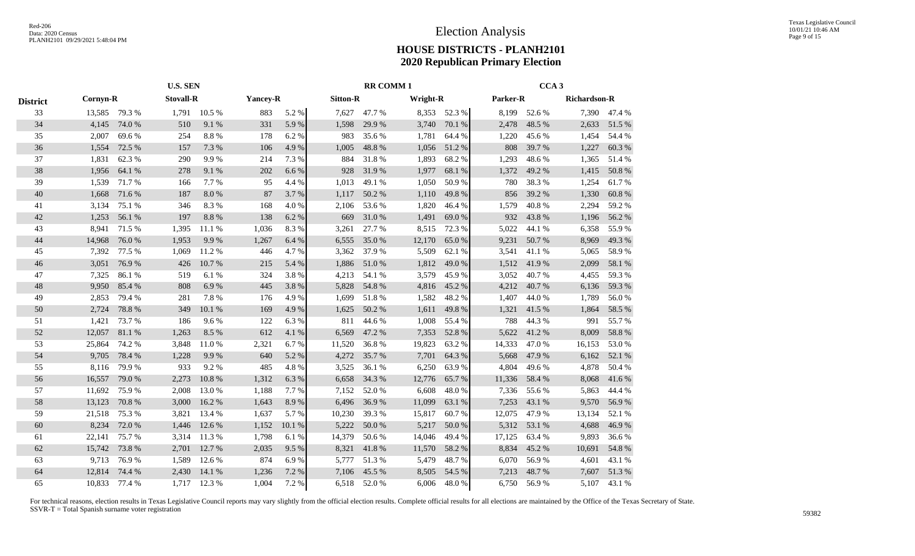|                 |          | <b>U.S. SEN</b> |                  |              |                 |        | <b>RR COMM1</b> |        |          |              | CCA <sub>3</sub> |        |                     |              |
|-----------------|----------|-----------------|------------------|--------------|-----------------|--------|-----------------|--------|----------|--------------|------------------|--------|---------------------|--------------|
| <b>District</b> | Cornyn-R |                 | <b>Stovall-R</b> |              | <b>Yancey-R</b> |        | <b>Sitton-R</b> |        | Wright-R |              | Parker-R         |        | <b>Richardson-R</b> |              |
| 33              |          | 13,585 79.3 %   |                  | 1,791 10.5 % | 883             | 5.2 %  | 7,627           | 47.7%  |          | 8,353 52.3 % | 8,199            | 52.6 % |                     | 7,390 47.4 % |
| 34              | 4,145    | 74.0%           | 510              | 9.1%         | 331             | 5.9%   | 1,598           | 29.9%  | 3,740    | 70.1 %       | 2,478            | 48.5 % | 2,633               | 51.5 %       |
| 35              | 2,007    | 69.6%           | 254              | 8.8%         | 178             | 6.2%   | 983             | 35.6%  | 1,781    | 64.4 %       | 1,220            | 45.6%  | 1,454               | 54.4 %       |
| 36              | 1,554    | 72.5 %          | 157              | 7.3 %        | 106             | 4.9%   | 1,005           | 48.8 % | 1,056    | 51.2%        | 808              | 39.7 % | 1,227               | 60.3%        |
| 37              | 1,831    | 62.3%           | 290              | 9.9%         | 214             | 7.3 %  | 884             | 31.8%  | 1,893    | 68.2%        | 1,293            | 48.6%  | 1,365               | 51.4%        |
| 38              | 1,956    | 64.1 %          | 278              | 9.1%         | 202             | 6.6%   | 928             | 31.9%  | 1,977    | 68.1%        | 1,372            | 49.2%  | 1,415               | 50.8%        |
| 39              | 1,539    | 71.7%           | 166              | 7.7 %        | 95              | 4.4 %  | 1,013           | 49.1 % | 1,050    | 50.9%        | 780              | 38.3%  | 1,254               | 61.7%        |
| 40              | 1,668    | 71.6 %          | 187              | 8.0%         | 87              | 3.7%   | 1,117           | 50.2 % | 1,110    | 49.8%        | 856              | 39.2 % | 1,330               | 60.8%        |
| 41              | 3,134    | 75.1 %          | 346              | 8.3%         | 168             | 4.0%   | 2,106           | 53.6 % | 1,820    | 46.4 %       | 1,579            | 40.8 % | 2,294               | 59.2%        |
| 42              | 1,253    | 56.1 %          | 197              | 8.8%         | 138             | 6.2%   | 669             | 31.0%  | 1,491    | 69.0%        | 932              | 43.8%  | 1,196               | 56.2%        |
| 43              | 8,941    | 71.5 %          | 1,395            | 11.1 %       | 1,036           | 8.3%   | 3,261           | 27.7 % | 8,515    | 72.3 %       | 5,022            | 44.1 % | 6,358               | 55.9%        |
| 44              | 14,968   | 76.0%           | 1,953            | 9.9%         | 1,267           | 6.4 %  | 6,555           | 35.0%  | 12,170   | 65.0%        | 9,231            | 50.7%  | 8,969               | 49.3%        |
| 45              | 7,392    | 77.5 %          | 1,069            | 11.2%        | 446             | 4.7%   | 3,362           | 37.9%  | 5,509    | 62.1 %       | 3,541            | 41.1%  | 5,065               | 58.9%        |
| 46              | 3,051    | 76.9%           | 426              | 10.7%        | 215             | 5.4 %  | 1,886           | 51.0%  | 1,812    | 49.0%        | 1,512            | 41.9%  | 2,099               | 58.1 %       |
| 47              | 7,325    | 86.1%           | 519              | 6.1 %        | 324             | 3.8%   | 4,213           | 54.1 % | 3,579    | 45.9%        | 3,052            | 40.7%  | 4,455               | 59.3%        |
| 48              | 9,950    | 85.4 %          | 808              | 6.9%         | 445             | 3.8%   | 5,828           | 54.8 % | 4,816    | 45.2%        | 4,212            | 40.7%  | 6,136               | 59.3%        |
| 49              | 2,853    | 79.4 %          | 281              | 7.8%         | 176             | 4.9%   | 1,699           | 51.8%  | 1,582    | 48.2%        | 1,407            | 44.0%  | 1,789               | 56.0%        |
| 50              | 2,724    | 78.8%           | 349              | 10.1 %       | 169             | 4.9%   | 1,625           | 50.2 % | 1,611    | 49.8%        | 1,321            | 41.5 % | 1,864               | 58.5 %       |
| 51              | 1,421    | 73.7 %          | 186              | 9.6%         | 122             | 6.3%   | 811             | 44.6 % | 1,008    | 55.4 %       | 788              | 44.3 % | 991                 | 55.7%        |
| 52              | 12,057   | 81.1%           | 1,263            | 8.5 %        | 612             | 4.1 %  | 6,569           | 47.2 % | 7,353    | 52.8%        | 5,622            | 41.2%  | 8,009               | 58.8%        |
| 53              | 25,864   | 74.2 %          | 3,848            | 11.0%        | 2,321           | 6.7%   | 11,520          | 36.8%  | 19,823   | 63.2%        | 14,333           | 47.0%  | 16,153              | 53.0%        |
| 54              | 9,705    | 78.4 %          | 1,228            | 9.9%         | 640             | 5.2 %  | 4,272           | 35.7%  | 7,701    | 64.3 %       | 5,668            | 47.9 % | 6,162               | 52.1 %       |
| 55              | 8,116    | 79.9%           | 933              | 9.2%         | 485             | 4.8%   | 3,525           | 36.1 % | 6,250    | 63.9%        | 4,804            | 49.6 % | 4,878               | 50.4%        |
| 56              | 16,557   | 79.0%           | 2,273            | 10.8%        | 1,312           | 6.3%   | 6,658           | 34.3 % | 12,776   | 65.7%        | 11,336           | 58.4 % | 8,068               | 41.6%        |
| 57              | 11,692   | 75.9%           | 2,008            | 13.0%        | 1,188           | 7.7 %  | 7,152           | 52.0%  | 6,608    | 48.0%        | 7,336            | 55.6%  | 5,863               | 44.4 %       |
| 58              | 13,123   | 70.8%           | 3,000            | 16.2%        | 1,643           | 8.9%   | 6,496           | 36.9%  | 11,099   | 63.1 %       | 7,253            | 43.1 % | 9,570               | 56.9%        |
| 59              | 21,518   | 75.3 %          | 3,821            | 13.4 %       | 1,637           | 5.7%   | 10,230          | 39.3 % | 15,817   | 60.7%        | 12,075           | 47.9%  | 13,134              | 52.1 %       |
| 60              | 8,234    | 72.0 %          | 1,446            | 12.6 %       | 1,152           | 10.1 % | 5,222           | 50.0%  | 5,217    | 50.0%        | 5,312            | 53.1 % | 4,688               | 46.9%        |
| 61              | 22,141   | 75.7%           | 3,314            | 11.3%        | 1,798           | 6.1%   | 14,379          | 50.6%  | 14,046   | 49.4 %       | 17,125           | 63.4 % | 9,893               | 36.6%        |
| 62              | 15,742   | 73.8%           | 2,701            | 12.7 %       | 2,035           | 9.5%   | 8,321           | 41.8%  | 11,570   | 58.2%        | 8,834            | 45.2%  | 10,691              | 54.8 %       |
| 63              | 9,713    | 76.9%           | 1,589            | 12.6 %       | 874             | 6.9%   | 5,777           | 51.3%  | 5,479    | 48.7%        | 6,070            | 56.9%  | 4,601               | 43.1 %       |
| 64              | 12,814   | 74.4 %          | 2,430            | 14.1 %       | 1,236           | 7.2 %  | 7,106           | 45.5 % | 8,505    | 54.5 %       | 7,213            | 48.7%  | 7,607               | 51.3%        |
| 65              | 10.833   | 77.4 %          |                  | 1,717 12.3 % | 1,004           | 7.2 %  | 6,518           | 52.0%  | 6.006    | 48.0%        | 6,750            | 56.9%  | 5,107               | 43.1 %       |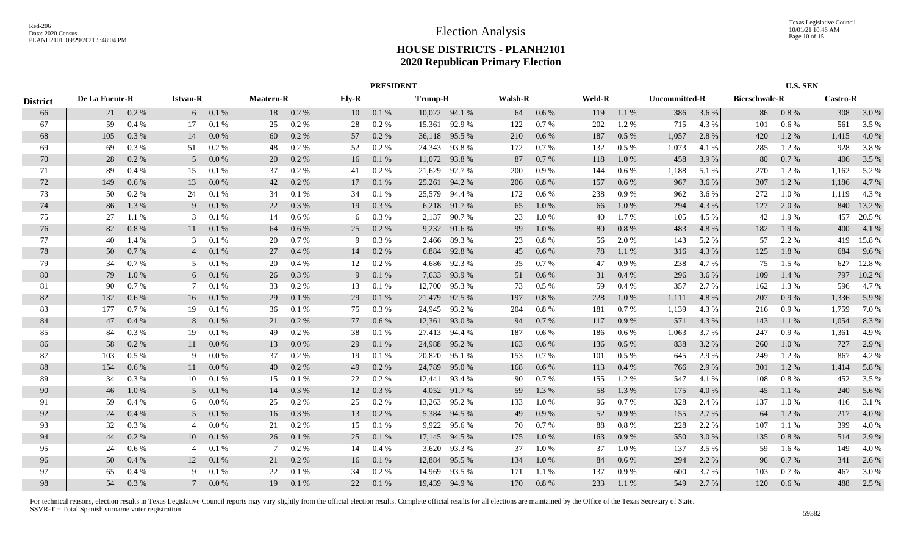|                 |                |         |                 |         |                  |       |       | <b>PRESIDENT</b> |                |               |                |           |               |         |               |       |                      | <b>U.S. SEN</b> |                 |        |
|-----------------|----------------|---------|-----------------|---------|------------------|-------|-------|------------------|----------------|---------------|----------------|-----------|---------------|---------|---------------|-------|----------------------|-----------------|-----------------|--------|
| <b>District</b> | De La Fuente-R |         | <b>Istvan-R</b> |         | <b>Maatern-R</b> |       | Ely-R |                  | <b>Trump-R</b> |               | <b>Walsh-R</b> |           | <b>Weld-R</b> |         | Uncommitted-R |       | <b>Bierschwale-R</b> |                 | <b>Castro-R</b> |        |
| 66              | 21             | $0.2\%$ | 6               | 0.1 %   | 18               | 0.2 % | 10    | 0.1 %            |                | 10,022 94.1 % | 64             | 0.6 %     | 119           | 1.1%    | 386           | 3.6 % | 86                   | 0.8 %           | 308             | 3.0 %  |
| 67              | 59             | 0.4%    | 17              | 0.1%    | 25               | 0.2 % | 28    | 0.2 %            | 15,361         | 92.9%         | 122            | 0.7%      | 202           | 1.2%    | 715           | 4.3 % | 101                  | 0.6 %           | 561             | 3.5 %  |
| 68              | 105            | 0.3%    | 14              | 0.0 %   | 60               | 0.2 % | 57    | 0.2 %            |                | 36,118 95.5 % | 210            | 0.6 %     | 187           | 0.5%    | 1,057         | 2.8%  | 420                  | 1.2%            | 1,415           | 4.0%   |
| 69              | 69             | 0.3%    | 51              | $0.2\%$ | 48               | 0.2 % | 52    | 0.2 %            |                | 24,343 93.8 % | 172            | 0.7%      | 132           | $0.5\%$ | 1,073         | 4.1 % | 285                  | 1.2%            | 928             | 3.8%   |
| 70              | 28             | 0.2%    | 5 <sup>5</sup>  | 0.0 %   | 20               | 0.2 % | 16    | 0.1%             | 11,072         | 93.8%         | 87             | 0.7 %     | 118           | 1.0%    | 458           | 3.9%  | 80                   | 0.7%            | 406             | 3.5 %  |
| 71              | 89             | 0.4%    | 15              | 0.1%    | -37              | 0.2 % | 41    | 0.2 %            | 21,629         | 92.7 %        | 200            | 0.9 %     | 144           | $0.6\%$ | 1,188         | 5.1 % | 270                  | 1.2 %           | 1,162           | 5.2 %  |
| 72              | 149            | 0.6 %   | 13              | 0.0 %   | 42               | 0.2 % | 17    | 0.1 %            |                | 25,261 94.2 % | 206            | $0.8\ \%$ | 157           | 0.6 %   | 967           | 3.6 % | 307                  | 1.2%            | 1,186           | 4.7%   |
| 73              | 50             | 0.2 %   | 24              | 0.1%    | 34               | 0.1%  | 34    | 0.1%             |                | 25,579 94.4 % | 172            | $0.6\,\%$ | 238           | 0.9 %   | 962           | 3.6 % | 272                  | 1.0%            | 1,119           | 4.3 %  |
| 74              | 86             | 1.3%    | 9               | 0.1%    | 22               | 0.3%  | 19    | 0.3 %            |                | 6,218 91.7 %  | 65             | 1.0%      | 66            | 1.0%    | 294           | 4.3 % | 127                  | 2.0 %           | 840             | 13.2 % |
| 75              | 27             | 1.1 %   | 3               | 0.1%    | -14              | 0.6 % | 6     | 0.3%             | 2,137          | 90.7 %        | 23             | 1.0%      | 40            | 1.7%    | 105           | 4.5 % | 42                   | 1.9%            | 457             | 20.5 % |
| 76              | 82             | 0.8%    | 11              | 0.1%    | -64              | 0.6%  | 25    | 0.2%             | 9,232          | 91.6 %        | 99             | 1.0%      | 80            | 0.8%    | 483           | 4.8%  | 182                  | 1.9%            | 400             | 4.1 %  |
| 77              | 40             | 1.4 %   | $\mathbf{3}$    | 0.1%    | 20               | 0.7%  | 9     | 0.3%             | 2,466          | 89.3%         | 23             | $0.8\ \%$ | 56            | 2.0 %   | 143           | 5.2 % | 57                   | 2.2 %           | 419             | 15.8%  |
| 78              | 50             | 0.7%    | $\overline{4}$  | 0.1%    | 27               | 0.4%  | 14    | 0.2 %            | 6,884          | 92.8%         | 45             | 0.6 %     | 78            | 1.1 %   | 316           | 4.3 % | 125                  | 1.8%            | 684             | 9.6 %  |
| 79              | 34             | 0.7%    | 5               | 0.1%    | 20               | 0.4%  | 12    | 0.2 %            |                | 4,686 92.3 %  | 35             | 0.7 %     | 47            | 0.9%    | 238           | 4.7 % | 75                   | 1.5 %           | 627             | 12.8 % |
| 80              | 79             | 1.0%    | 6               | 0.1 %   | 26               | 0.3%  | 9     | 0.1 %            | 7,633          | 93.9 %        | 51             | 0.6 %     | 31            | 0.4%    | 296           | 3.6 % | 109                  | 1.4 %           | 797             | 10.2 % |
| 81              | 90             | 0.7%    | 7               | 0.1%    | 33               | 0.2 % | 13    | 0.1%             |                | 12,700 95.3 % | 73             | $0.5\ \%$ | 59            | $0.4\%$ | 357           | 2.7 % | 162                  | 1.3 %           | 596             | 4.7%   |
| 82              | 132            | 0.6 %   | 16              | 0.1 %   | 29               | 0.1%  | 29    | 0.1 %            |                | 21,479 92.5 % | 197            | 0.8%      | 228           | 1.0%    | 1,111         | 4.8%  | 207                  | 0.9%            | 1,336           | 5.9%   |
| 83              | 177            | 0.7%    | 19              | 0.1%    | 36               | 0.1%  | 75    | 0.3 %            |                | 24,945 93.2 % | 204            | 0.8%      | 181           | 0.7%    | 1,139         | 4.3 % | 216                  | 0.9%            | 1,759           | 7.0%   |
| 84              | 47             | 0.4%    | 8               | 0.1%    | 21               | 0.2 % | 77    | 0.6%             | 12,361         | 93.0%         | 94             | 0.7 %     | 117           | 0.9%    | 571           | 4.3 % | 143                  | 1.1%            | 1,054           | 8.3%   |
| 85              | 84             | 0.3%    | 19              | 0.1%    | 49               | 0.2 % | 38    | 0.1%             | 27,413         | 94.4 %        | 187            | 0.6 %     | 186           | $0.6\%$ | 1,063         | 3.7 % | 247                  | 0.9%            | 1,361           | 4.9%   |
| 86              | 58             | $0.2\%$ | 11              | 0.0 %   | 13               | 0.0 % | 29    | 0.1%             | 24,988         | 95.2 %        | 163            | 0.6 %     | 136           | 0.5%    | 838           | 3.2 % | 260                  | 1.0 %           | 727             | 2.9 %  |
| 87              | 103            | 0.5%    | 9               | 0.0 %   | 37               | 0.2 % | 19    | 0.1%             | 20,820         | 95.1 %        | 153            | 0.7%      | 101           | $0.5\%$ | 645           | 2.9 % | 249                  | 1.2%            | 867             | 4.2 %  |
| 88              | 154            | 0.6 %   | 11              | 0.0 %   | 40               | 0.2 % | 49    | 0.2 %            | 24,789         | 95.0%         | 168            | $0.6\,\%$ | 113           | 0.4%    | 766           | 2.9 % | 301                  | 1.2%            | 1,414           | 5.8%   |
| 89              | 34             | 0.3%    | 10              | 0.1%    | 15               | 0.1%  | 22    | 0.2 %            | 12,441         | 93.4 %        | 90             | 0.7%      | 155           | 1.2%    | 547           | 4.1 % | 108                  | 0.8%            | 452             | 3.5 %  |
| 90              | 46             | 1.0%    | 5               | 0.1%    | 14               | 0.3 % | 12    | 0.3 %            | 4,052          | 91.7 %        | 59             | 1.3 %     | 58            | 1.3%    | 175           | 4.0 % | 45                   | 1.1%            | 240             | 5.6 %  |
| 91              | 59             | 0.4%    | 6               | 0.0 %   | 25               | 0.2 % | 25    | 0.2%             |                | 13,263 95.2 % | 133            | 1.0%      | 96            | 0.7%    | 328           | 2.4 % | 137                  | $1.0\%$         | 416             | 3.1 %  |
| 92              | 24             | 0.4%    | 5               | 0.1 %   | 16               | 0.3 % | 13    | 0.2 %            | 5,384          | 94.5 %        | 49             | 0.9 %     | 52            | 0.9%    | 155           | 2.7%  | 64                   | 1.2%            | 217             | 4.0%   |
| 93              | 32             | 0.3 %   | 4               | 0.0 %   | 21               | 0.2 % | 15    | 0.1%             | 9,922          | 95.6 %        | 70             | 0.7 %     | 88            | 0.8 %   | 228           | 2.2 % | 107                  | 1.1 %           | 399             | 4.0%   |
| 94              | 44             | 0.2 %   | 10              | 0.1 %   | 26               | 0.1%  | 25    | 0.1%             | 17,145         | 94.5 %        | 175            | 1.0%      | 163           | 0.9%    | 550           | 3.0 % | 135                  | 0.8 %           | 514             | 2.9 %  |
| 95              | 24             | 0.6 %   | 4               | 0.1%    |                  | 0.2 % | 14    | 0.4%             | 3,620          | 93.3 %        | 37             | 1.0%      | 37            | 1.0%    | 137           | 3.5 % | 59                   | $1.6\%$         | 149             | 4.0%   |
| 96              | 50             | 0.4%    | 12              | 0.1%    | 21               | 0.2 % | 16    | 0.1 %            | 12,884         | 95.5 %        | 134            | 1.0%      | 84            | 0.6%    | 294           | 2.2 % | 96                   | 0.7%            | 341             | 2.6 %  |
| 97              | 65             | 0.4%    | 9               | 0.1%    | 22               | 0.1%  | 34    | 0.2 %            | 14,969         | 93.5 %        | 171            | 1.1 %     | 137           | 0.9%    | 600           | 3.7 % | 103                  | 0.7%            | 467             | 3.0%   |
| 98              | 54             | 0.3%    |                 | 0.0 %   | 19               | 0.1%  | 22    | 0.1%             |                | 19,439 94.9 % | 170            | 0.8%      | 233           | 1.1 %   | 549           | 2.7 % | 120                  | $0.6\%$         | 488             | 2.5 %  |
|                 |                |         |                 |         |                  |       |       |                  |                |               |                |           |               |         |               |       |                      |                 |                 |        |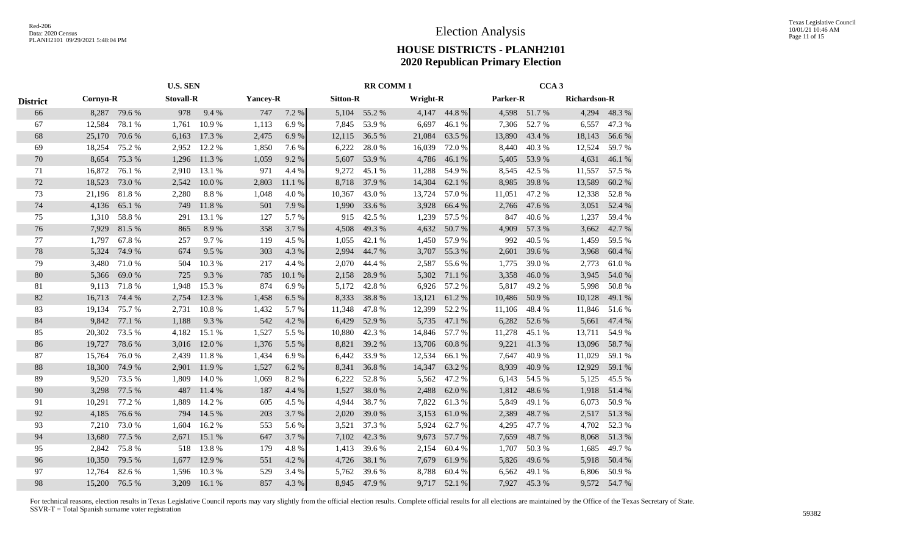|                 |          | <b>U.S. SEN</b> |                  |        |                 | <b>RR COMM1</b> |                 |        |          | CCA <sub>3</sub> |          |        |                     |        |
|-----------------|----------|-----------------|------------------|--------|-----------------|-----------------|-----------------|--------|----------|------------------|----------|--------|---------------------|--------|
| <b>District</b> | Cornyn-R |                 | <b>Stovall-R</b> |        | <b>Yancey-R</b> |                 | <b>Sitton-R</b> |        | Wright-R |                  | Parker-R |        | <b>Richardson-R</b> |        |
| 66              | 8,287    | 79.6 %          | 978              | 9.4 %  | 747             | 7.2 %           | 5,104           | 55.2 % | 4,147    | 44.8%            | 4,598    | 51.7 % | 4,294               | 48.3%  |
| 67              | 12,584   | 78.1 %          | 1,761            | 10.9%  | 1,113           | 6.9%            | 7,845           | 53.9%  | 6,697    | 46.1 %           | 7,306    | 52.7%  | 6,557               | 47.3 % |
| 68              | 25,170   | 70.6%           | 6,163            | 17.3 % | 2,475           | 6.9%            | 12,115          | 36.5 % | 21,084   | 63.5 %           | 13,890   | 43.4 % | 18,143              | 56.6%  |
| 69              | 18,254   | 75.2 %          | 2,952            | 12.2 % | 1,850           | 7.6 %           | 6,222           | 28.0%  | 16,039   | 72.0%            | 8,440    | 40.3%  | 12,524              | 59.7%  |
| 70              | 8,654    | 75.3%           | 1,296            | 11.3%  | 1,059           | 9.2%            | 5,607           | 53.9%  | 4,786    | 46.1%            | 5,405    | 53.9%  | 4,631               | 46.1 % |
| 71              | 16,872   | 76.1 %          | 2,910            | 13.1 % | 971             | 4.4 %           | 9,272           | 45.1 % | 11,288   | 54.9%            | 8,545    | 42.5 % | 11,557              | 57.5 % |
| $72\,$          | 18,523   | 73.0%           | 2,542            | 10.0%  | 2,803           | 11.1 %          | 8,718           | 37.9 % | 14,304   | 62.1 %           | 8,985    | 39.8%  | 13,589              | 60.2%  |
| 73              | 21,196   | 81.8%           | 2,280            | 8.8%   | 1,048           | 4.0%            | 10,367          | 43.0 % | 13,724   | 57.0%            | 11,051   | 47.2 % | 12,338              | 52.8%  |
| 74              | 4,136    | 65.1 %          | 749              | 11.8%  | 501             | 7.9%            | 1,990           | 33.6 % | 3,928    | 66.4 %           | 2,766    | 47.6 % | 3,051               | 52.4 % |
| 75              | 1,310    | 58.8%           | 291              | 13.1 % | 127             | 5.7%            | 915             | 42.5 % | 1,239    | 57.5 %           | 847      | 40.6%  | 1,237               | 59.4%  |
| 76              | 7,929    | 81.5%           | 865              | 8.9%   | 358             | 3.7%            | 4,508           | 49.3%  | 4,632    | 50.7%            | 4,909    | 57.3 % | 3,662               | 42.7 % |
| 77              | 1,797    | 67.8%           | 257              | 9.7%   | 119             | 4.5 %           | 1,055           | 42.1 % | 1,450    | 57.9%            | 992      | 40.5 % | 1,459               | 59.5 % |
| $78\,$          | 5,324    | 74.9%           | 674              | 9.5%   | 303             | 4.3 %           | 2,994           | 44.7%  | 3,707    | 55.3 %           | 2,601    | 39.6 % | 3,968               | 60.4 % |
| 79              | 3,480    | 71.0%           | 504              | 10.3%  | 217             | 4.4 %           | 2,070           | 44.4 % | 2,587    | 55.6 %           | 1,775    | 39.0%  | 2,773               | 61.0%  |
| 80              | 5,366    | 69.0%           | 725              | 9.3%   | 785             | 10.1 %          | 2,158           | 28.9%  | 5,302    | 71.1 %           | 3,358    | 46.0%  | 3,945               | 54.0%  |
| 81              | 9,113    | 71.8%           | 1,948            | 15.3 % | 874             | 6.9%            | 5,172           | 42.8%  | 6,926    | 57.2 %           | 5,817    | 49.2 % | 5,998               | 50.8%  |
| 82              | 16,713   | 74.4 %          | 2,754            | 12.3 % | 1,458           | 6.5%            | 8,333           | 38.8%  | 13,121   | 61.2%            | 10,486   | 50.9%  | 10,128              | 49.1 % |
| 83              | 19,134   | 75.7%           | 2,731            | 10.8%  | 1,432           | 5.7%            | 11,348          | 47.8%  | 12,399   | 52.2 %           | 11,106   | 48.4%  | 11,846              | 51.6%  |
| 84              | 9,842    | 77.1 %          | 1,188            | 9.3%   | 542             | 4.2%            | 6,429           | 52.9 % | 5,735    | 47.1 %           | 6,282    | 52.6%  | 5,661               | 47.4 % |
| 85              | 20,302   | 73.5 %          | 4,182            | 15.1 % | 1,527           | 5.5 %           | 10,880          | 42.3 % | 14,846   | 57.7 %           | 11,278   | 45.1 % | 13,711              | 54.9 % |
| 86              | 19,727   | 78.6%           | 3,016            | 12.0 % | 1,376           | 5.5 %           | 8,821           | 39.2 % | 13,706   | 60.8%            | 9,221    | 41.3%  | 13,096              | 58.7%  |
| 87              | 15,764   | 76.0%           | 2,439            | 11.8%  | 1,434           | 6.9%            | 6,442           | 33.9%  | 12,534   | 66.1%            | 7,647    | 40.9%  | 11,029              | 59.1 % |
| 88              | 18,300   | 74.9 %          | 2,901            | 11.9 % | 1,527           | 6.2%            | 8,341           | 36.8%  | 14,347   | 63.2%            | 8,939    | 40.9%  | 12,929              | 59.1 % |
| 89              | 9,520    | 73.5 %          | 1,809            | 14.0 % | 1,069           | 8.2%            | 6,222           | 52.8%  | 5,562    | 47.2 %           | 6,143    | 54.5 % | 5,125               | 45.5 % |
| 90              | 3,298    | 77.5 %          | 487              | 11.4 % | 187             | 4.4 %           | 1,527           | 38.0%  | 2,488    | 62.0%            | 1,812    | 48.6%  | 1,918               | 51.4%  |
| 91              | 10,291   | 77.2 %          | 1,889            | 14.2 % | 605             | 4.5 %           | 4,944           | 38.7%  | 7,822    | 61.3%            | 5,849    | 49.1 % | 6,073               | 50.9%  |
| 92              | 4,185    | 76.6%           | 794              | 14.5 % | 203             | 3.7%            | 2,020           | 39.0%  | 3,153    | 61.0%            | 2,389    | 48.7%  | 2,517               | 51.3 % |
| 93              | 7,210    | 73.0 %          | 1,604            | 16.2%  | 553             | 5.6 %           | 3,521           | 37.3 % | 5,924    | 62.7 %           | 4,295    | 47.7 % | 4,702               | 52.3 % |
| 94              | 13,680   | 77.5 %          | 2,671            | 15.1 % | 647             | 3.7%            | 7,102           | 42.3 % | 9,673    | 57.7 %           | 7,659    | 48.7%  | 8,068               | 51.3%  |
| 95              | 2,842    | 75.8%           | 518              | 13.8%  | 179             | 4.8%            | 1,413           | 39.6 % | 2,154    | 60.4%            | 1,707    | 50.3 % | 1,685               | 49.7 % |
| 96              | 10,350   | 79.5 %          | 1,677            | 12.9 % | 551             | 4.2 %           | 4,726           | 38.1 % | 7,679    | 61.9%            | 5,826    | 49.6 % | 5,918               | 50.4 % |
| 97              | 12,764   | 82.6%           | 1,596            | 10.3%  | 529             | 3.4 %           | 5,762           | 39.6 % | 8,788    | 60.4%            | 6,562    | 49.1 % | 6,806               | 50.9%  |
| 98              | 15,200   | 76.5 %          | 3,209            | 16.1%  | 857             | 4.3 %           | 8,945           | 47.9 % | 9,717    | 52.1 %           | 7,927    | 45.3%  | 9,572               | 54.7 % |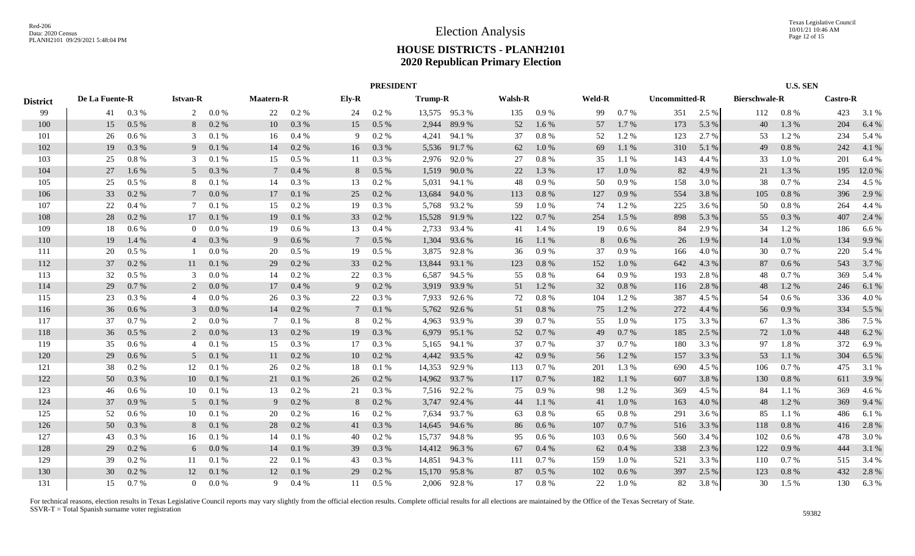|                 |                |          |                 |           |                  |         |                 |           | <b>PRESIDENT</b> |               |                |           |        |         |                      |       |                      | <b>U.S. SEN</b> |                 |        |
|-----------------|----------------|----------|-----------------|-----------|------------------|---------|-----------------|-----------|------------------|---------------|----------------|-----------|--------|---------|----------------------|-------|----------------------|-----------------|-----------------|--------|
| <b>District</b> | De La Fuente-R |          | <b>Istvan-R</b> |           | <b>Maatern-R</b> |         | Ely-R           |           | <b>Trump-R</b>   |               | <b>Walsh-R</b> |           | Weld-R |         | <b>Uncommitted-R</b> |       | <b>Bierschwale-R</b> |                 | <b>Castro-R</b> |        |
| 99              | 41             | 0.3 %    | $\overline{2}$  | $0.0\,\%$ | 22               | 0.2 %   | 24              | 0.2 %     |                  | 13,575 95.3 % | 135            | 0.9%      | 99     | 0.7%    | 351                  | 2.5 % | 112                  | 0.8%            | 423             | 3.1 %  |
| 100             | 15             | 0.5%     | 8               | $0.2 \%$  | 10               | 0.3 %   | 15              | $0.5\ \%$ | 2,944            | 89.9%         | 52             | $1.6\%$   | 57     | 1.7%    | 173                  | 5.3 % | 40                   | 1.3 %           | 204             | 6.4 %  |
| 101             | 26             | 0.6 %    | 3               | 0.1%      | 16               | 0.4%    | 9               | 0.2 %     | 4,241            | 94.1 %        | 37             | $0.8 \%$  | 52     | 1.2%    | 123                  | 2.7 % | 53                   | 1.2%            | 234             | 5.4 %  |
| 102             | 19             | 0.3%     | 9               | $0.1\ \%$ | 14               | $0.2\%$ | 16              | 0.3 %     | 5,536            | 91.7 %        | 62             | 1.0%      | 69     | 1.1 %   | 310                  | 5.1 % | 49                   | 0.8 %           | 242             | 4.1 %  |
| 103             | 25             | 0.8%     | 3               | 0.1%      | 15               | 0.5%    | 11              | 0.3%      | 2,976            | 92.0%         | 27             | 0.8%      | 35     | 1.1 %   | 143                  | 4.4 % | 33                   | 1.0%            | 201             | 6.4 %  |
| 104             | 27             | 1.6%     | 5 <sup>5</sup>  | 0.3%      | 7                | 0.4%    | 8               | 0.5%      | 1,519            | 90.0%         | 22             | 1.3%      | 17     | 1.0%    | 82                   | 4.9%  | 21                   | 1.3 %           | 195             | 12.0 % |
| 105             | 25             | $0.5\%$  | 8               | 0.1%      | 14               | 0.3 %   | 13              | 0.2%      | 5,031            | 94.1 %        | 48             | 0.9 %     | 50     | 0.9%    | 158                  | 3.0 % | 38                   | 0.7%            | 234             | 4.5 %  |
| 106             | 33             | 0.2 %    | $7\phantom{.0}$ | 0.0 %     | 17               | 0.1%    | 25              | 0.2 %     | 13,684           | 94.0%         | 113            | $0.8~\%$  | 127    | 0.9%    | 554                  | 3.8%  | 105                  | 0.8 %           | 396             | 2.9 %  |
| 107             | 22             | 0.4%     | 7               | 0.1%      | 15               | 0.2 %   | 19              | 0.3%      | 5,768            | 93.2 %        | 59             | 1.0%      | 74     | 1.2%    | 225                  | 3.6 % | 50                   | 0.8 %           | 264             | 4.4 %  |
| 108             | 28             | $0.2~\%$ | 17              | 0.1 %     | 19               | 0.1%    | 33              | 0.2 %     | 15,528           | 91.9%         | 122            | $0.7~\%$  | 254    | 1.5 %   | 898                  | 5.3 % | 55                   | 0.3%            | 407             | 2.4 %  |
| 109             | 18             | 0.6 %    | $\overline{0}$  | 0.0 %     | 19               | 0.6 %   | 13              | 0.4%      | 2,733            | 93.4 %        | 41             | 1.4 %     | 19     | $0.6\%$ | 84                   | 2.9 % | 34                   | 1.2%            | 186             | 6.6%   |
| 110             | 19             | 1.4 %    | $\overline{4}$  | 0.3 %     | 9                | 0.6 %   | 7               | $0.5\%$   | 1,304            | 93.6 %        | 16             | 1.1%      | 8      | 0.6 %   | 26                   | 1.9 % | 14                   | 1.0%            | 134             | 9.9 %  |
| 111             | 20             | 0.5%     |                 | 0.0 %     | 20               | $0.5\%$ | 19              | $0.5\%$   | 3,875            | 92.8%         | 36             | 0.9 %     | 37     | 0.9%    | 166                  | 4.0%  | 30                   | 0.7%            | 220             | 5.4 %  |
| 112             | 37             | 0.2%     | 11              | 0.1%      | 29               | 0.2 %   | 33              | 0.2 %     | 13,844           | 93.1 %        | 123            | 0.8%      | 152    | 1.0%    | 642                  | 4.3 % | 87                   | 0.6 %           | 543             | 3.7 %  |
| 113             | 32             | 0.5%     | 3               | 0.0 %     | 14               | 0.2 %   | 22              | 0.3%      | 6,587            | 94.5 %        | 55             | $0.8~\%$  | 64     | 0.9%    | 193                  | 2.8%  | 48                   | 0.7%            | 369             | 5.4 %  |
| 114             | 29             | 0.7%     | 2               | 0.0 %     | 17               | 0.4%    | 9               | 0.2 %     |                  | 3,919 93.9 %  | 51             | 1.2 %     | 32     | 0.8%    | 116                  | 2.8 % | 48                   | 1.2 %           | 246             | 6.1%   |
| 115             | 23             | 0.3%     | $\overline{4}$  | 0.0 %     | 26               | 0.3 %   | 22              | 0.3 %     | 7.933            | 92.6 %        | 72             | 0.8%      | 104    | 1.2%    | 387                  | 4.5 % | 54                   | $0.6\%$         | 336             | 4.0%   |
| 116             | 36             | 0.6 %    | 3               | 0.0 %     | 14               | 0.2 %   | $7\phantom{.0}$ | 0.1%      | 5,762            | 92.6 %        | 51             | 0.8%      | 75     | 1.2%    | 272                  | 4.4 % | 56                   | 0.9%            | 334             | 5.5 %  |
| 117             | 37             | 0.7%     | 2               | 0.0 %     | 7                | 0.1%    | 8               | 0.2 %     | 4,963            | 93.9%         | 39             | 0.7 %     | 55     | 1.0%    | 175                  | 3.3 % | 67                   | 1.3 %           | 386             | 7.5 %  |
| 118             | 36             | 0.5%     | 2               | 0.0 %     | 13               | 0.2 %   | 19              | 0.3 %     | 6,979            | 95.1 %        | 52             | $0.7~\%$  | 49     | 0.7%    | 185                  | 2.5 % | 72                   | 1.0%            | 448             | 6.2%   |
| 119             | 35             | $0.6\%$  | 4               | 0.1%      | 15               | $0.3\%$ | 17              | 0.3%      | 5,165            | 94.1 %        | 37             | 0.7%      | 37     | 0.7%    | 180                  | 3.3 % | 97                   | 1.8%            | 372             | 6.9%   |
| 120             | 29             | 0.6 %    | 5 <sup>5</sup>  | 0.1 %     | 11               | 0.2 %   | 10              | 0.2 %     | 4,442            | 93.5 %        | 42             | $0.9\ \%$ | 56     | 1.2%    | 157                  | 3.3 % | 53                   | 1.1 %           | 304             | 6.5 %  |
| 121             | 38             | 0.2 %    | 12              | 0.1%      | 26               | 0.2 %   | 18              | 0.1%      | 14,353           | 92.9 %        | 113            | $0.7~\%$  | 201    | 1.3 %   | 690                  | 4.5 % | 106                  | 0.7%            | 475             | 3.1 %  |
| 122             | 50             | 0.3%     | 10              | 0.1%      | 21               | 0.1%    | 26              | 0.2 %     | 14,962           | 93.7 %        | 117            | 0.7 %     | 182    | 1.1%    | 607                  | 3.8%  | 130                  | 0.8%            | 611             | 3.9%   |
| 123             | 46             | $0.6\%$  | 10              | 0.1%      | 13               | 0.2 %   | 21              | 0.3 %     |                  | 7,516 92.2 %  | 75             | 0.9%      | 98     | 1.2 %   | 369                  | 4.5 % | 84                   | 1.1 %           | 369             | 4.6 %  |
| 124             | 37             | 0.9%     | 5               | 0.1%      | 9                | 0.2 %   | 8               | 0.2 %     | 3,747            | 92.4 %        | 44             | 1.1 %     | 41     | 1.0%    | 163                  | 4.0%  | 48                   | 1.2 %           | 369             | 9.4 %  |
| 125             | 52             | 0.6 %    | 10              | 0.1%      | 20               | 0.2 %   | 16              | $0.2~\%$  | 7,634            | 93.7%         | 63             | $0.8~\%$  | 65     | 0.8%    | 291                  | 3.6 % | 85                   | 1.1%            | 486             | 6.1 %  |
| 126             | 50             | 0.3%     | 8               | 0.1%      | 28               | 0.2 %   | 41              | 0.3%      | 14,645           | 94.6 %        | 86             | 0.6 %     | 107    | 0.7%    | 516                  | 3.3 % | 118                  | 0.8 %           | 416             | 2.8 %  |
| 127             | 43             | 0.3 %    | 16              | 0.1%      | 14               | 0.1%    | 40              | $0.2\%$   | 15,737           | 94.8%         | 95             | $0.6\%$   | 103    | $0.6\%$ | 560                  | 3.4 % | 102                  | $0.6\%$         | 478             | 3.0%   |
| 128             | 29             | 0.2 %    | 6               | 0.0 %     | 14               | 0.1%    | 39              | 0.3%      |                  | 14,412 96.3 % | 67             | $0.4~\%$  | 62     | 0.4%    | 338                  | 2.3 % | 122                  | 0.9%            | 444             | 3.1 %  |
| 129             | 39             | 0.2 %    | 11              | 0.1%      | 22               | 0.1%    | 43              | 0.3%      | 14,851           | 94.3%         | 111            | 0.7 %     | 159    | 1.0%    | 521                  | 3.3 % | 110                  | 0.7%            | 515             | 3.4 %  |
| 130             | 30             | 0.2 %    | 12              | 0.1%      | 12               | 0.1%    | 29              | 0.2 %     | 15.170           | 95.8%         | 87             | $0.5\ \%$ | 102    | 0.6%    | 397                  | 2.5 % | 123                  | 0.8%            | 432             | 2.8%   |
| 131             | 15             | 0.7%     | $\Omega$        | $0.0\%$   | 9                | $0.4\%$ | 11              | $0.5\%$   |                  | 2,006 92.8%   | 17             | 0.8%      | 22     | 1.0%    | 82                   | 3.8%  | 30                   | 1.5 %           | 130             | 6.3%   |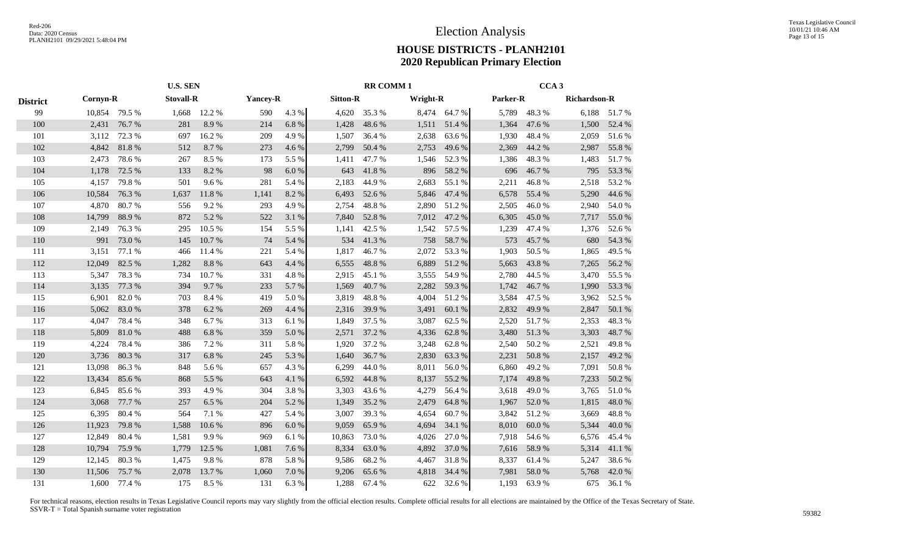|                 |          | <b>U.S. SEN</b> |                  |        |       |                 |        | <b>RR COMM1</b> |       | CCA <sub>3</sub> |          |        |              |        |  |
|-----------------|----------|-----------------|------------------|--------|-------|-----------------|--------|-----------------|-------|------------------|----------|--------|--------------|--------|--|
| <b>District</b> | Cornyn-R |                 | <b>Stovall-R</b> |        |       | <b>Yancey-R</b> |        | <b>Sitton-R</b> |       | <b>Wright-R</b>  | Parker-R |        | Richardson-R |        |  |
| 99              | 10,854   | 79.5 %          | 1,668            | 12.2 % | 590   | 4.3 %           | 4,620  | 35.3%           |       | 8,474 64.7 %     | 5,789    | 48.3%  | 6,188        | 51.7%  |  |
| 100             | 2,431    | 76.7%           | 281              | 8.9%   | 214   | 6.8%            | 1,428  | 48.6%           | 1,511 | 51.4 %           | 1,364    | 47.6 % | 1,500        | 52.4 % |  |
| 101             | 3,112    | 72.3 %          | 697              | 16.2%  | 209   | 4.9%            | 1,507  | 36.4 %          | 2,638 | 63.6 %           | 1,930    | 48.4%  | 2,059        | 51.6%  |  |
| 102             | 4,842    | 81.8%           | 512              | 8.7%   | 273   | 4.6 %           | 2,799  | 50.4 %          | 2,753 | 49.6%            | 2,369    | 44.2 % | 2,987        | 55.8%  |  |
| 103             | 2,473    | 78.6%           | 267              | 8.5%   | 173   | 5.5 %           | 1,411  | 47.7%           | 1,546 | 52.3%            | 1,386    | 48.3%  | 1,483        | 51.7%  |  |
| 104             | 1,178    | 72.5 %          | 133              | 8.2%   | 98    | 6.0%            | 643    | 41.8%           | 896   | 58.2%            | 696      | 46.7%  | 795          | 53.3%  |  |
| 105             | 4,157    | 79.8%           | 501              | 9.6%   | 281   | 5.4 %           | 2,183  | 44.9%           | 2,683 | 55.1 %           | 2,211    | 46.8%  | 2,518        | 53.2%  |  |
| 106             | 10,584   | 76.3%           | 1,637            | 11.8%  | 1,141 | 8.2%            | 6,493  | 52.6 %          | 5,846 | 47.4 %           | 6,578    | 55.4 % | 5,290        | 44.6 % |  |
| 107             | 4,870    | 80.7%           | 556              | 9.2%   | 293   | 4.9%            | 2,754  | 48.8%           | 2,890 | 51.2%            | 2,505    | 46.0%  | 2,940        | 54.0%  |  |
| 108             | 14,799   | 88.9%           | 872              | 5.2 %  | 522   | 3.1 %           | 7,840  | 52.8%           | 7,012 | 47.2 %           | 6,305    | 45.0%  | 7,717        | 55.0%  |  |
| 109             | 2,149    | 76.3 %          | 295              | 10.5 % | 154   | 5.5 %           | 1,141  | 42.5 %          | 1,542 | 57.5 %           | 1,239    | 47.4 % | 1,376        | 52.6 % |  |
| 110             | 991      | 73.0%           | 145              | 10.7%  | 74    | 5.4 %           | 534    | 41.3%           | 758   | 58.7%            | 573      | 45.7%  | 680          | 54.3 % |  |
| 111             | 3,151    | 77.1 %          | 466              | 11.4 % | 221   | 5.4 %           | 1,817  | 46.7%           | 2,072 | 53.3%            | 1,903    | 50.5 % | 1,865        | 49.5 % |  |
| 112             | 12,049   | 82.5 %          | 1,282            | 8.8%   | 643   | 4.4 %           | 6,555  | 48.8%           | 6,889 | 51.2%            | 5,663    | 43.8%  | 7,265        | 56.2%  |  |
| 113             | 5,347    | 78.3%           | 734              | 10.7%  | 331   | 4.8%            | 2,915  | 45.1 %          | 3,555 | 54.9%            | 2,780    | 44.5 % | 3,470        | 55.5 % |  |
| 114             | 3,135    | 77.3 %          | 394              | 9.7%   | 233   | 5.7%            | 1,569  | 40.7%           | 2,282 | 59.3%            | 1,742    | 46.7%  | 1,990        | 53.3%  |  |
| 115             | 6,901    | 82.0%           | 703              | 8.4%   | 419   | 5.0%            | 3,819  | 48.8%           | 4,004 | 51.2%            | 3,584    | 47.5 % | 3,962        | 52.5 % |  |
| 116             | 5,062    | 83.0%           | 378              | 6.2 %  | 269   | 4.4 %           | 2,316  | 39.9%           | 3,491 | 60.1 %           | 2,832    | 49.9%  | 2,847        | 50.1 % |  |
| 117             | 4,047    | 78.4%           | 348              | 6.7 %  | 313   | 6.1%            | 1,849  | 37.5 %          | 3,087 | 62.5 %           | 2,520    | 51.7%  | 2,353        | 48.3%  |  |
| 118             | 5,809    | 81.0%           | 488              | 6.8%   | 359   | 5.0%            | 2,571  | 37.2 %          | 4,336 | 62.8%            | 3,480    | 51.3%  | 3,303        | 48.7%  |  |
| 119             | 4,224    | 78.4%           | 386              | 7.2 %  | 311   | 5.8%            | 1,920  | 37.2 %          | 3,248 | 62.8%            | 2,540    | 50.2 % | 2,521        | 49.8%  |  |
| 120             | 3,736    | 80.3%           | 317              | 6.8%   | 245   | 5.3%            | 1,640  | 36.7%           | 2,830 | 63.3%            | 2,231    | 50.8%  | 2,157        | 49.2%  |  |
| 121             | 13,098   | 86.3%           | 848              | 5.6 %  | 657   | 4.3%            | 6,299  | 44.0%           | 8,011 | 56.0%            | 6,860    | 49.2 % | 7,091        | 50.8%  |  |
| 122             | 13,434   | 85.6%           | 868              | 5.5 %  | 643   | 4.1%            | 6,592  | 44.8 %          | 8,137 | 55.2%            | 7,174    | 49.8%  | 7,233        | 50.2%  |  |
| 123             | 6,845    | 85.6%           | 393              | 4.9%   | 304   | 3.8%            | 3,303  | 43.6%           | 4,279 | 56.4 %           | 3,618    | 49.0%  | 3,765        | 51.0%  |  |
| 124             | 3,068    | 77.7 %          | 257              | 6.5 %  | 204   | 5.2 %           | 1,349  | 35.2 %          | 2,479 | 64.8%            | 1,967    | 52.0 % | 1,815        | 48.0%  |  |
| 125             | 6,395    | 80.4 %          | 564              | 7.1 %  | 427   | 5.4 %           | 3,007  | 39.3 %          | 4,654 | 60.7%            | 3,842    | 51.2%  | 3,669        | 48.8%  |  |
| 126             | 11,923   | 79.8%           | 1,588            | 10.6%  | 896   | 6.0%            | 9,059  | 65.9%           | 4,694 | 34.1 %           | 8,010    | 60.0%  | 5,344        | 40.0%  |  |
| 127             | 12,849   | 80.4%           | 1,581            | 9.9%   | 969   | 6.1 %           | 10,863 | 73.0%           | 4,026 | 27.0 %           | 7,918    | 54.6 % | 6,576        | 45.4 % |  |
| 128             | 10,794   | 75.9%           | 1,779            | 12.5 % | 1,081 | 7.6 %           | 8,334  | 63.0%           | 4,892 | 37.0%            | 7,616    | 58.9%  | 5,314        | 41.1%  |  |
| 129             | 12,145   | 80.3%           | 1,475            | 9.8%   | 878   | 5.8%            | 9,586  | 68.2%           | 4,467 | 31.8%            | 8,337    | 61.4%  | 5,247        | 38.6%  |  |
| 130             | 11,506   | 75.7%           | 2,078            | 13.7%  | 1,060 | 7.0%            | 9,206  | 65.6%           | 4,818 | 34.4 %           | 7,981    | 58.0%  | 5,768        | 42.0%  |  |
| 131             | 1,600    | 77.4 %          | 175              | 8.5%   | 131   | 6.3%            | 1,288  | 67.4 %          | 622   | 32.6 %           | 1.193    | 63.9%  | 675          | 36.1%  |  |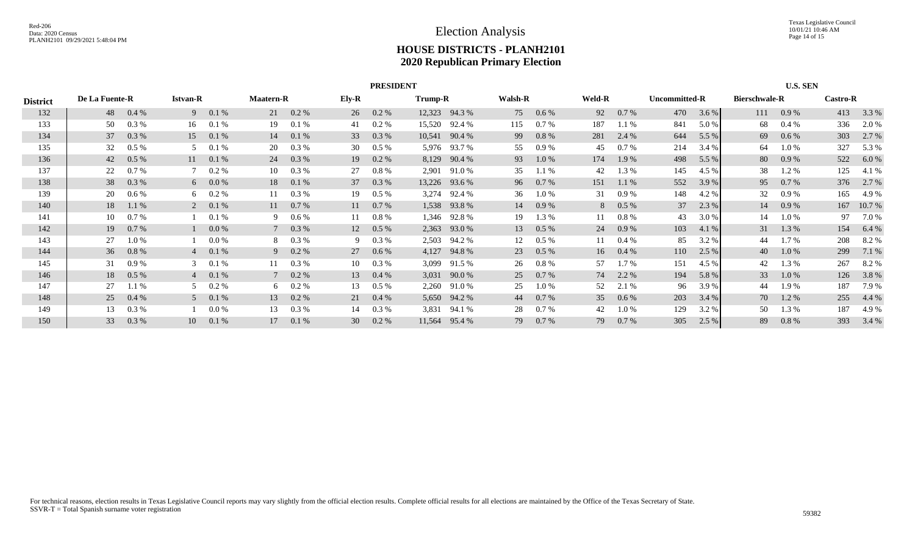|                 | <b>PRESIDENT</b> |         |                 |          |                  |                |                 |          |        |               |                |          |     |               |     | <b>U.S. SEN</b>      |     |                      |     |                 |  |
|-----------------|------------------|---------|-----------------|----------|------------------|----------------|-----------------|----------|--------|---------------|----------------|----------|-----|---------------|-----|----------------------|-----|----------------------|-----|-----------------|--|
| <b>District</b> | De La Fuente-R   |         | <b>Istvan-R</b> |          | <b>Maatern-R</b> |                | Ely-R           | Trump-R  |        |               | <b>Walsh-R</b> |          |     | <b>Weld-R</b> |     | <b>Uncommitted-R</b> |     | <b>Bierschwale-R</b> |     | <b>Castro-R</b> |  |
| 132             | 48               | 0.4%    | 9               | 0.1 %    | 21               | $0.2 \%$       | 26              | $0.2 \%$ |        | 12,323 94.3 % | 75             | 0.6 %    | 92  | 0.7 %         | 470 | 3.6 %                | 111 | 0.9 %                | 413 | 3.3 %           |  |
| 133             | 50               | 0.3 %   | 16              | 0.1%     | 19               | 0.1%           | 41              | 0.2 %    | 15,520 | 92.4 %        | 115            | 0.7 %    | 187 | 1.1%          | 841 | 5.0 %                | 68  | 0.4%                 | 336 | 2.0 %           |  |
| 134             | 37               | 0.3 %   | 15              | 0.1 %    | 14               | 0.1%           | 33              | 0.3 %    |        | 10,541 90.4 % | 99             | $0.8 \%$ | 281 | 2.4 %         | 644 | 5.5 $%$              | 69  | $0.6\%$              | 303 | 2.7 %           |  |
| 135             | 32               | $0.5\%$ | 5               | 0.1%     | 20               | $0.3\%$        | 30              | $0.5\%$  |        | 5,976 93.7 %  | 55             | 0.9%     | 45  | $0.7\%$       | 214 | 3.4 %                | 64  | $1.0\%$              | 327 | 5.3 %           |  |
| 136             | 42               | $0.5\%$ | 11              | 0.1 %    | 24               | $0.3\%$        | 19              | 0.2 %    |        | 8,129 90.4 %  | 93             | $1.0 \%$ | 174 | 1.9 %         | 498 | 5.5 $%$              | 80  | 0.9 %                | 522 | 6.0 %           |  |
| 137             | 22               | 0.7%    | $7^{\circ}$     | 0.2 %    | 10               | 0.3 %          | 27              | 0.8 %    | 2,901  | 91.0 %        | 35             | 1.1%     | 42  | 1.3 %         | 145 | 4.5 %                | 38  | $1.2\%$              | 125 | 4.1 %           |  |
| 138             | 38               | 0.3 %   |                 | $60.0\%$ | 18               | 0.1%           | 37              | $0.3\%$  |        | 13,226 93.6 % | 96             | 0.7 %    | 151 | 1.1%          | 552 | 3.9 %                | 95  | 0.7%                 | 376 | 2.7 %           |  |
| 139             | 20               | $0.6\%$ | 6               | 0.2 %    |                  | 0.3 %          | 19              | $0.5\%$  |        | 3,274 92.4 %  | 36             | $1.0\%$  | 31  | $0.9\%$       | 148 | 4.2 %                | 32  | 0.9 %                | 165 | 4.9%            |  |
| 140             | 18               | 1.1 %   | $\overline{2}$  | 0.1 %    | 11               | $0.7\%$        | 11              | 0.7 %    |        | 1,538 93.8 %  | 14             | 0.9 %    | 8   | $0.5\%$       | 37  | 2.3 %                | 14  | 0.9%                 | 167 | 10.7 %          |  |
| 141             | 10               | 0.7 %   |                 | 0.1%     |                  | 0.6 %          | 11              | 0.8 %    | 1,346  | 92.8 %        | 19             | 1.3 %    | 11  | $0.8\%$       | 43  | 3.0 %                | 14  | $1.0\%$              | 97  | 7.0 %           |  |
| 142             | 19               | 0.7 %   |                 | 0.0 %    |                  | 7 0.3 %        | 12              | $0.5\%$  | 2,363  | 93.0 %        | 13             | $0.5\%$  | 24  | 0.9%          | 103 | 4.1 $%$              | 31  | 1.3 %                | 154 | 6.4%            |  |
| 143             | 27               | 1.0%    |                 | 0.0 %    | 8                | $0.3\%$        | 9               | 0.3 %    | 2,503  | 94.2 %        | 12             | $0.5\%$  | 11  | $0.4\%$       | 85  | 3.2 %                | 44  | $1.7\%$              | 208 | 8.2 %           |  |
| 144             | 36               | 0.8%    |                 | 4 0.1 %  |                  | $9$ 0.2 %      | 27              | $0.6\%$  | 4,127  | 94.8 %        | 23             | $0.5\%$  | 16  | $0.4\%$       | 110 | 2.5 %                | 40  | $1.0\%$              | 299 | 7.1 %           |  |
| 145             | 31               | 0.9%    | 3               | 0.1%     |                  | $0.3\%$        | 10              | $0.3\%$  | 3,099  | 91.5 %        | 26             | $0.8 \%$ | 57  | $1.7\%$       | 151 | 4.5 %                | 42  | 1.3 %                | 267 | 8.2 %           |  |
| 146             | 18               | $0.5\%$ |                 | $40.1\%$ |                  | $7\quad 0.2\%$ | 13              | $0.4\%$  | 3,031  | 90.0 %        | 25             | 0.7 %    | 74  | 2.2 %         | 194 | 5.8 %                | 33  | $1.0\%$              | 126 | 3.8%            |  |
| 147             | 27               | 1.1%    | 5               | 0.2 %    | 6                | $0.2 \%$       | 13              | 0.5 %    | 2,260  | 91.0 %        | 25             | $1.0\%$  | 52  | 2.1 %         | 96  | 3.9 %                | 44  | 1.9%                 | 187 | 7.9 %           |  |
| 148             | 25               | 0.4%    | 5 <sup>5</sup>  | 0.1%     | 13               | $0.2\%$        | 21              | 0.4%     |        | 5,650 94.2 %  | 44             | 0.7 %    | 35  | $0.6\%$       | 203 | 3.4%                 | 70  | $1.2\%$              | 255 | 4.4 %           |  |
| 149             | 13               | 0.3 %   |                 | 0.0 %    | 13               | 0.3 %          | 14              | 0.3 %    | 3,831  | 94.1 %        | 28             | 0.7 %    | 42  | $1.0\%$       | 129 | 3.2 %                | 50  | 1.3 %                | 187 | 4.9%            |  |
| 150             | 33               | 0.3 %   | 10              | 0.1%     | 17               | 0.1%           | 30 <sup>2</sup> | 0.2 %    | 11,564 | 95.4 %        | 79             | $0.7\%$  | 79. | 0.7%          | 305 | 2.5 %                | 89  | 0.8%                 | 393 | 3.4 %           |  |